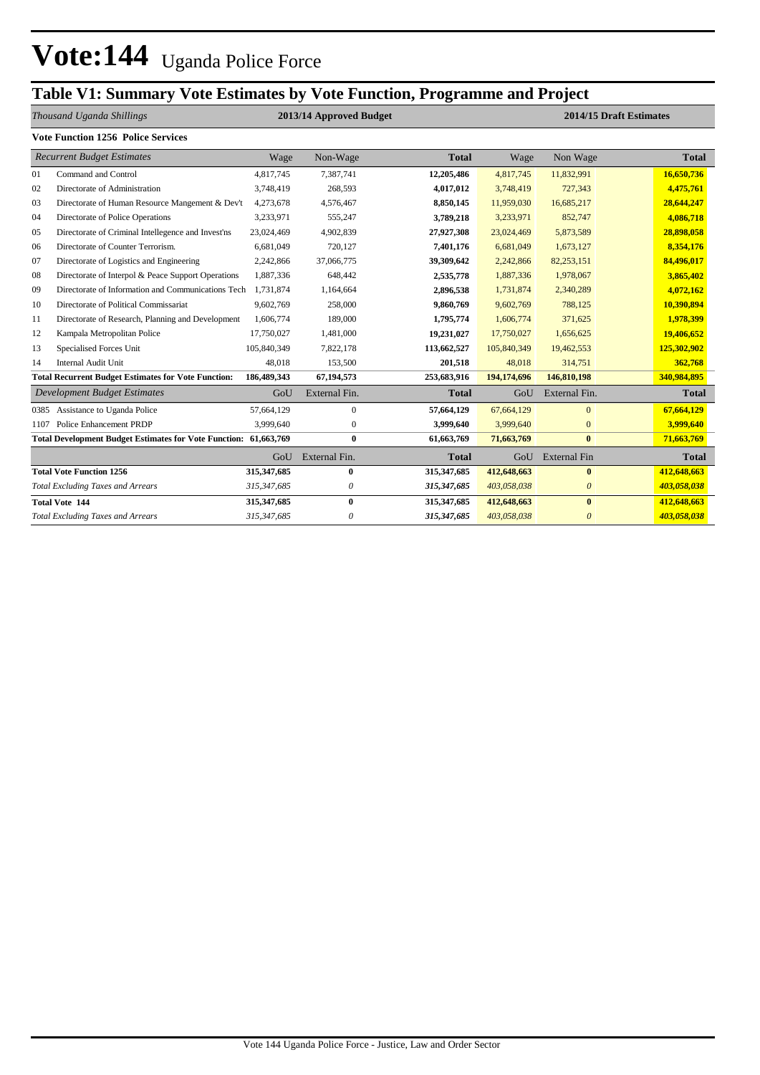# **Table V1: Summary Vote Estimates by Vote Function, Programme and Project**

|                           |                                                                  |             |                         | ິ            |                         |                     |              |  |
|---------------------------|------------------------------------------------------------------|-------------|-------------------------|--------------|-------------------------|---------------------|--------------|--|
| Thousand Uganda Shillings |                                                                  |             | 2013/14 Approved Budget |              | 2014/15 Draft Estimates |                     |              |  |
|                           | <b>Vote Function 1256 Police Services</b>                        |             |                         |              |                         |                     |              |  |
|                           | <b>Recurrent Budget Estimates</b>                                | Wage        | Non-Wage                | <b>Total</b> | Wage                    | Non Wage            | <b>Total</b> |  |
| 01                        | Command and Control                                              | 4,817,745   | 7,387,741               | 12,205,486   | 4,817,745               | 11,832,991          | 16,650,736   |  |
| 02                        | Directorate of Administration                                    | 3,748,419   | 268,593                 | 4,017,012    | 3,748,419               | 727,343             | 4,475,761    |  |
| 03                        | Directorate of Human Resource Mangement & Dev't                  | 4,273,678   | 4,576,467               | 8,850,145    | 11,959,030              | 16,685,217          | 28,644,247   |  |
| 04                        | Directorate of Police Operations                                 | 3,233,971   | 555,247                 | 3,789,218    | 3,233,971               | 852,747             | 4,086,718    |  |
| 05                        | Directorate of Criminal Intellegence and Invest'ns               | 23,024,469  | 4,902,839               | 27,927,308   | 23,024,469              | 5,873,589           | 28,898,058   |  |
| 06                        | Directorate of Counter Terrorism.                                | 6,681,049   | 720,127                 | 7,401,176    | 6,681,049               | 1,673,127           | 8,354,176    |  |
| 07                        | Directorate of Logistics and Engineering                         | 2,242,866   | 37,066,775              | 39,309,642   | 2,242,866               | 82,253,151          | 84,496,017   |  |
| 08                        | Directorate of Interpol & Peace Support Operations               | 1,887,336   | 648,442                 | 2,535,778    | 1,887,336               | 1,978,067           | 3,865,402    |  |
| 09                        | Directorate of Information and Communications Tech               | 1,731,874   | 1,164,664               | 2,896,538    | 1,731,874               | 2,340,289           | 4,072,162    |  |
| 10                        | Directorate of Political Commissariat                            | 9,602,769   | 258,000                 | 9,860,769    | 9,602,769               | 788,125             | 10,390,894   |  |
| 11                        | Directorate of Research, Planning and Development                | 1,606,774   | 189,000                 | 1,795,774    | 1,606,774               | 371,625             | 1,978,399    |  |
| 12                        | Kampala Metropolitan Police                                      | 17,750,027  | 1,481,000               | 19,231,027   | 17,750,027              | 1,656,625           | 19,406,652   |  |
| 13                        | Specialised Forces Unit                                          | 105,840,349 | 7,822,178               | 113,662,527  | 105,840,349             | 19,462,553          | 125,302,902  |  |
| 14                        | <b>Internal Audit Unit</b>                                       | 48,018      | 153,500                 | 201,518      | 48,018                  | 314,751             | 362,768      |  |
|                           | <b>Total Recurrent Budget Estimates for Vote Function:</b>       | 186,489,343 | 67,194,573              | 253,683,916  | 194,174,696             | 146,810,198         | 340,984,895  |  |
|                           | Development Budget Estimates                                     | GoU         | External Fin.           | <b>Total</b> | GoU                     | External Fin.       | <b>Total</b> |  |
| 0385                      | Assistance to Uganda Police                                      | 57,664,129  | $\mathbf{0}$            | 57,664,129   | 67,664,129              | $\overline{0}$      | 67,664,129   |  |
| 1107                      | Police Enhancement PRDP                                          | 3,999,640   | $\mathbf{0}$            | 3,999,640    | 3,999,640               | $\mathbf{0}$        | 3,999,640    |  |
|                           | Total Development Budget Estimates for Vote Function: 61,663,769 |             | $\bf{0}$                | 61,663,769   | 71,663,769              | $\bf{0}$            | 71,663,769   |  |
|                           |                                                                  | GoU         | External Fin.           | <b>Total</b> | GoU                     | <b>External Fin</b> | <b>Total</b> |  |
|                           | <b>Total Vote Function 1256</b>                                  | 315,347,685 | $\bf{0}$                | 315,347,685  | 412,648,663             | $\bf{0}$            | 412,648,663  |  |
|                           | <b>Total Excluding Taxes and Arrears</b>                         | 315,347,685 | 0                       | 315,347,685  | 403,058,038             | $\theta$            | 403,058,038  |  |
|                           | <b>Total Vote 144</b>                                            | 315,347,685 | $\bf{0}$                | 315,347,685  | 412,648,663             | $\bf{0}$            | 412,648,663  |  |
|                           | <b>Total Excluding Taxes and Arrears</b>                         | 315,347,685 | 0                       | 315,347,685  | 403,058,038             | $\theta$            | 403,058,038  |  |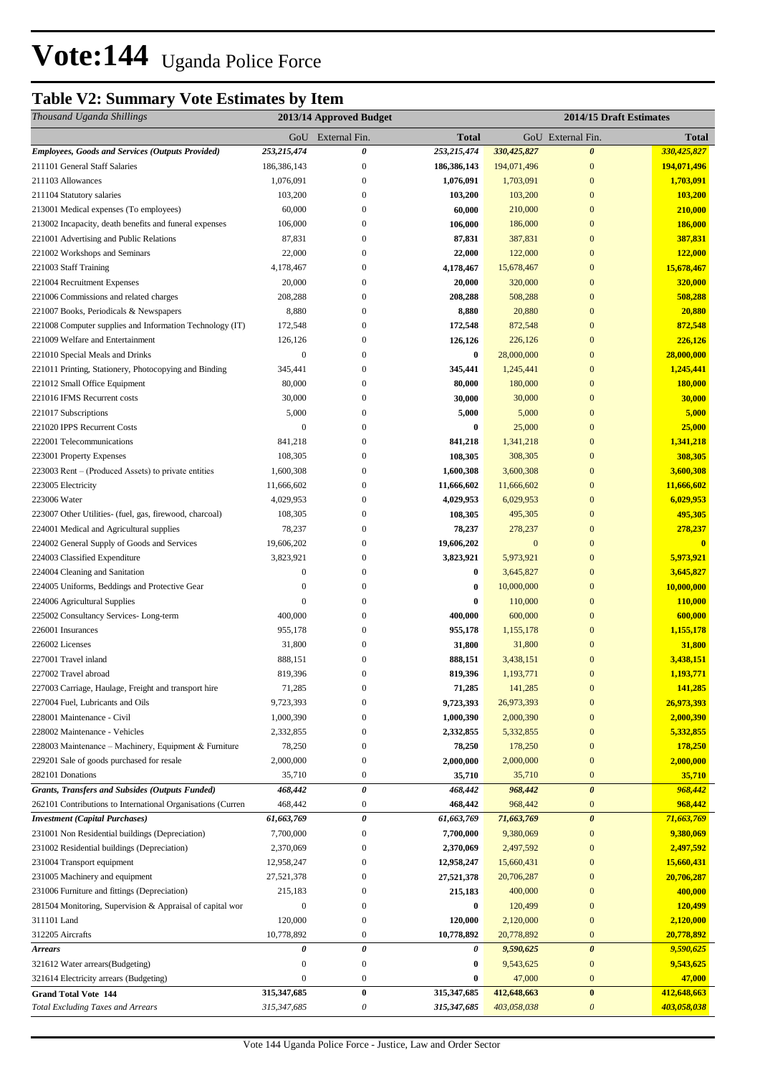# **Table V2: Summary Vote Estimates by Item**

| Thousand Uganda Shillings                                                                |                             | 2013/14 Approved Budget            |                       |                         | 2014/15 Draft Estimates |                         |
|------------------------------------------------------------------------------------------|-----------------------------|------------------------------------|-----------------------|-------------------------|-------------------------|-------------------------|
|                                                                                          |                             | GoU External Fin.                  | <b>Total</b>          |                         | GoU External Fin.       | <b>Total</b>            |
| <b>Employees, Goods and Services (Outputs Provided)</b>                                  | 253,215,474                 | 0                                  | 253,215,474           | 330,425,827             | $\boldsymbol{\theta}$   | 330,425,827             |
| 211101 General Staff Salaries                                                            | 186, 386, 143               | $\boldsymbol{0}$                   | 186,386,143           | 194,071,496             | $\mathbf{0}$            | 194,071,496             |
| 211103 Allowances                                                                        | 1,076,091                   | $\boldsymbol{0}$                   | 1,076,091             | 1,703,091               | $\mathbf{0}$            | 1,703,091               |
| 211104 Statutory salaries                                                                | 103,200                     | $\Omega$                           | 103,200               | 103,200                 | $\mathbf{0}$            | 103,200                 |
| 213001 Medical expenses (To employees)                                                   | 60,000                      | $\Omega$                           | 60,000                | 210,000                 | $\bf{0}$                | 210,000                 |
| 213002 Incapacity, death benefits and funeral expenses                                   | 106,000                     | 0                                  | 106,000               | 186,000                 | $\bf{0}$                | 186,000                 |
| 221001 Advertising and Public Relations                                                  | 87,831                      | 0                                  | 87,831                | 387,831                 | $\bf{0}$                | 387,831                 |
| 221002 Workshops and Seminars                                                            | 22,000                      | 0                                  | 22,000                | 122,000                 | $\bf{0}$                | 122,000                 |
| 221003 Staff Training                                                                    | 4,178,467                   | 0                                  | 4,178,467             | 15,678,467              | $\bf{0}$                | 15,678,467              |
| 221004 Recruitment Expenses                                                              | 20,000                      | $\mathbf{0}$                       | 20,000                | 320,000                 | $\bf{0}$                | 320,000                 |
| 221006 Commissions and related charges                                                   | 208,288                     | 0                                  | 208,288               | 508,288                 | $\bf{0}$                | 508,288                 |
| 221007 Books, Periodicals & Newspapers                                                   | 8,880                       | $\mathbf{0}$                       | 8,880                 | 20,880                  | $\bf{0}$                | 20,880                  |
| 221008 Computer supplies and Information Technology (IT)                                 | 172,548                     | $\boldsymbol{0}$<br>$\overline{0}$ | 172,548               | 872,548                 | $\bf{0}$                | 872,548                 |
| 221009 Welfare and Entertainment                                                         | 126,126<br>$\boldsymbol{0}$ | $\mathbf{0}$                       | 126,126<br>$\bf{0}$   | 226,126                 | $\bf{0}$<br>$\bf{0}$    | 226,126<br>28,000,000   |
| 221010 Special Meals and Drinks<br>221011 Printing, Stationery, Photocopying and Binding | 345,441                     | 0                                  | 345,441               | 28,000,000<br>1,245,441 | $\bf{0}$                | 1,245,441               |
| 221012 Small Office Equipment                                                            | 80,000                      | 0                                  | 80,000                | 180,000                 | $\bf{0}$                | 180,000                 |
| 221016 IFMS Recurrent costs                                                              | 30,000                      | 0                                  | 30,000                | 30,000                  | $\bf{0}$                | 30,000                  |
| 221017 Subscriptions                                                                     | 5,000                       | $\overline{0}$                     | 5,000                 | 5,000                   | $\bf{0}$                | 5,000                   |
| 221020 IPPS Recurrent Costs                                                              | $\mathbf{0}$                | $\boldsymbol{0}$                   | 0                     | 25,000                  | $\bf{0}$                | 25,000                  |
| 222001 Telecommunications                                                                | 841,218                     | $\mathbf{0}$                       | 841,218               | 1,341,218               | $\bf{0}$                | 1,341,218               |
| 223001 Property Expenses                                                                 | 108,305                     | $\mathbf{0}$                       | 108,305               | 308,305                 | $\bf{0}$                | 308,305                 |
| 223003 Rent – (Produced Assets) to private entities                                      | 1,600,308                   | $\Omega$                           | 1,600,308             | 3,600,308               | $\bf{0}$                | 3,600,308               |
| 223005 Electricity                                                                       | 11,666,602                  | $\mathbf{0}$                       | 11,666,602            | 11,666,602              | $\bf{0}$                | 11,666,602              |
| 223006 Water                                                                             | 4,029,953                   | 0                                  | 4,029,953             | 6,029,953               | $\bf{0}$                | 6,029,953               |
| 223007 Other Utilities- (fuel, gas, firewood, charcoal)                                  | 108,305                     | 0                                  | 108,305               | 495,305                 | $\bf{0}$                | 495,305                 |
| 224001 Medical and Agricultural supplies                                                 | 78,237                      | 0                                  | 78,237                | 278,237                 | $\bf{0}$                | 278,237                 |
| 224002 General Supply of Goods and Services                                              | 19,606,202                  | $\overline{0}$                     | 19,606,202            | $\mathbf{0}$            | $\bf{0}$                | $\mathbf{0}$            |
| 224003 Classified Expenditure                                                            | 3,823,921                   | $\overline{0}$                     | 3,823,921             | 5,973,921               | $\bf{0}$                | 5,973,921               |
| 224004 Cleaning and Sanitation                                                           | $\boldsymbol{0}$            | $\boldsymbol{0}$                   | 0                     | 3,645,827               | $\mathbf{0}$            | 3,645,827               |
| 224005 Uniforms, Beddings and Protective Gear                                            | $\mathbf{0}$                | $\mathbf{0}$                       | $\bf{0}$              | 10,000,000              | $\overline{0}$          | 10,000,000              |
| 224006 Agricultural Supplies                                                             | $\mathbf{0}$                | $\Omega$                           | $\bf{0}$              | 110,000                 | $\bf{0}$                | 110,000                 |
| 225002 Consultancy Services-Long-term                                                    | 400,000                     | $\overline{0}$                     | 400,000               | 600,000                 | $\bf{0}$                | 600,000                 |
| 226001 Insurances                                                                        | 955,178                     | $\boldsymbol{0}$                   | 955,178               | 1,155,178               | $\bf{0}$                | 1,155,178               |
| 226002 Licenses                                                                          | 31,800                      | 0<br>0                             | 31,800                | 31,800                  | $\bf{0}$                | 31,800<br>3,438,151     |
| 227001 Travel inland<br>227002 Travel abroad                                             | 888,151<br>819,396          | $\mathbf{0}$                       | 888,151<br>819,396    | 3,438,151<br>1,193,771  | $\bf{0}$<br>$\bf{0}$    | 1,193,771               |
| 227003 Carriage, Haulage, Freight and transport hire                                     | 71,285                      | $\mathbf{0}$                       | 71,285                | 141,285                 | $\mathbf{0}$            | 141,285                 |
| 227004 Fuel, Lubricants and Oils                                                         | 9,723,393                   | $\Omega$                           | 9,723,393             | 26,973,393              | $\bf{0}$                | 26,973,393              |
| 228001 Maintenance - Civil                                                               | 1,000,390                   | 0                                  | 1,000,390             | 2,000,390               | $\bf{0}$                | 2,000,390               |
| 228002 Maintenance - Vehicles                                                            | 2,332,855                   | $\boldsymbol{0}$                   | 2,332,855             | 5,332,855               | $\bf{0}$                | 5,332,855               |
| 228003 Maintenance - Machinery, Equipment & Furniture                                    | 78,250                      | $\mathbf{0}$                       | 78,250                | 178,250                 | $\bf{0}$                | 178,250                 |
| 229201 Sale of goods purchased for resale                                                | 2,000,000                   | $\mathbf{0}$                       | 2,000,000             | 2,000,000               | $\mathbf{0}$            | 2,000,000               |
| 282101 Donations                                                                         | 35,710                      | $\boldsymbol{0}$                   | 35,710                | 35,710                  | $\boldsymbol{0}$        | 35,710                  |
| Grants, Transfers and Subsides (Outputs Funded)                                          | 468,442                     | 0                                  | 468,442               | 968,442                 | $\pmb{\theta}$          | 968,442                 |
| 262101 Contributions to International Organisations (Curren                              | 468,442                     | $\boldsymbol{0}$                   | 468,442               | 968,442                 | $\bf{0}$                | 968,442                 |
| <b>Investment</b> (Capital Purchases)                                                    | 61,663,769                  | 0                                  | 61,663,769            | 71,663,769              | $\boldsymbol{\theta}$   | 71,663,769              |
| 231001 Non Residential buildings (Depreciation)                                          | 7,700,000                   | $\mathbf{0}$                       | 7,700,000             | 9,380,069               | $\boldsymbol{0}$        | 9,380,069               |
| 231002 Residential buildings (Depreciation)                                              | 2,370,069                   | $\overline{0}$                     | 2,370,069             | 2,497,592               | $\bf{0}$                | 2,497,592               |
| 231004 Transport equipment                                                               | 12,958,247                  | $\overline{0}$                     | 12,958,247            | 15,660,431              | $\bf{0}$                | 15,660,431              |
| 231005 Machinery and equipment                                                           | 27,521,378                  | $\Omega$                           | 27,521,378            | 20,706,287              | $\bf{0}$                | 20,706,287              |
| 231006 Furniture and fittings (Depreciation)                                             | 215,183                     | $\Omega$<br>0                      | 215,183               | 400,000                 | $\bf{0}$                | 400,000                 |
| 281504 Monitoring, Supervision & Appraisal of capital wor                                | $\boldsymbol{0}$<br>120,000 | 0                                  | 0                     | 120,499                 | $\bf{0}$                | 120,499                 |
| 311101 Land<br>312205 Aircrafts                                                          | 10,778,892                  | $\boldsymbol{0}$                   | 120,000<br>10,778,892 | 2,120,000<br>20,778,892 | $\bf{0}$<br>$\bf{0}$    | 2,120,000<br>20,778,892 |
| <b>Arrears</b>                                                                           | $\theta$                    | 0                                  | 0                     | 9,590,625               | $\boldsymbol{\theta}$   | 9,590,625               |
| 321612 Water arrears (Budgeting)                                                         | 0                           | $\mathbf{0}$                       | 0                     | 9,543,625               | $\bf{0}$                | 9,543,625               |
| 321614 Electricity arrears (Budgeting)                                                   | $\mathbf{0}$                | $\boldsymbol{0}$                   | 0                     | 47,000                  | $\boldsymbol{0}$        | 47,000                  |
| <b>Grand Total Vote 144</b>                                                              | 315,347,685                 | $\bf{0}$                           | 315,347,685           | 412,648,663             | $\bf{0}$                | 412,648,663             |
| <b>Total Excluding Taxes and Arrears</b>                                                 | 315,347,685                 | $\boldsymbol{\mathit{0}}$          | 315,347,685           | 403,058,038             | 0                       | 403,058,038             |
|                                                                                          |                             |                                    |                       |                         |                         |                         |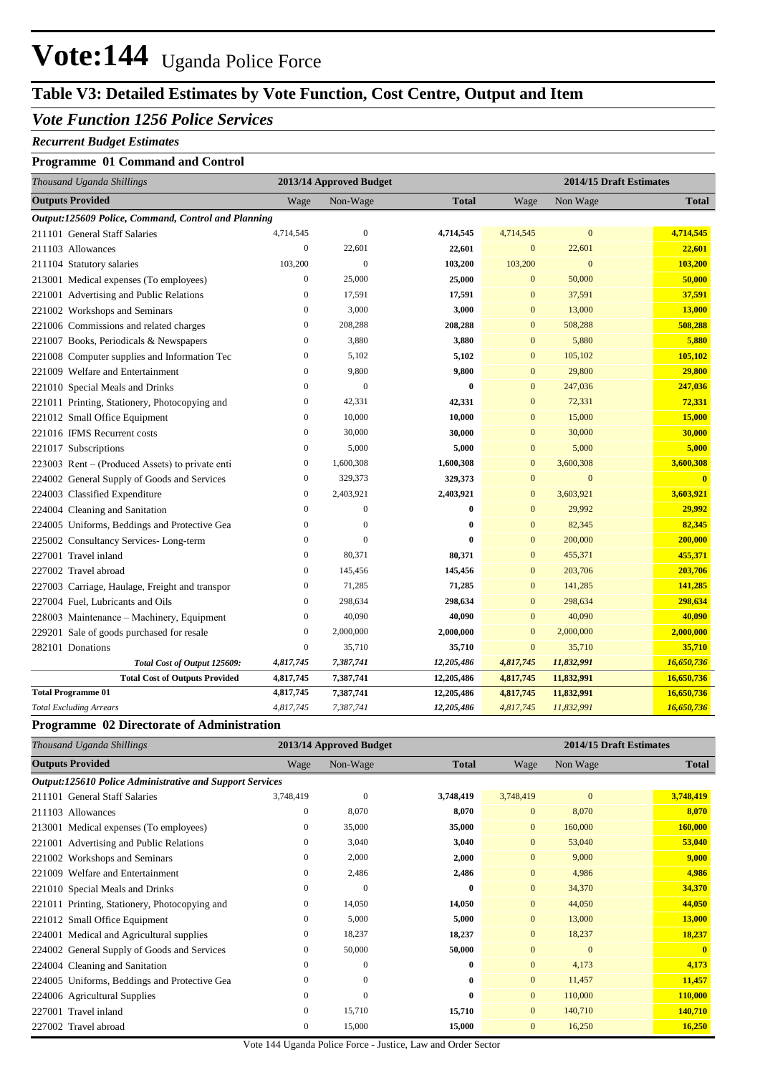## **Table V3: Detailed Estimates by Vote Function, Cost Centre, Output and Item**

### *Vote Function 1256 Police Services*

#### *Recurrent Budget Estimates*

#### **Programme 01 Command and Control**

| Thousand Uganda Shillings                           | 2013/14 Approved Budget |                  |              | 2014/15 Draft Estimates |              |                         |  |
|-----------------------------------------------------|-------------------------|------------------|--------------|-------------------------|--------------|-------------------------|--|
| <b>Outputs Provided</b>                             | Wage                    | Non-Wage         | <b>Total</b> | Wage                    | Non Wage     | <b>Total</b>            |  |
| Output:125609 Police, Command, Control and Planning |                         |                  |              |                         |              |                         |  |
| 211101 General Staff Salaries                       | 4,714,545               | $\boldsymbol{0}$ | 4,714,545    | 4,714,545               | $\mathbf{0}$ | 4,714,545               |  |
| 211103 Allowances                                   | $\boldsymbol{0}$        | 22,601           | 22,601       | $\mathbf{0}$            | 22,601       | 22,601                  |  |
| 211104 Statutory salaries                           | 103,200                 | $\theta$         | 103,200      | 103,200                 | $\mathbf{0}$ | 103,200                 |  |
| 213001 Medical expenses (To employees)              | $\boldsymbol{0}$        | 25,000           | 25,000       | $\mathbf{0}$            | 50,000       | 50,000                  |  |
| 221001 Advertising and Public Relations             | $\overline{0}$          | 17,591           | 17,591       | $\overline{0}$          | 37,591       | 37,591                  |  |
| 221002 Workshops and Seminars                       | $\boldsymbol{0}$        | 3,000            | 3,000        | $\mathbf{0}$            | 13,000       | 13,000                  |  |
| 221006 Commissions and related charges              | $\boldsymbol{0}$        | 208,288          | 208,288      | $\mathbf{0}$            | 508,288      | 508,288                 |  |
| 221007 Books, Periodicals & Newspapers              | $\boldsymbol{0}$        | 3,880            | 3,880        | $\mathbf{0}$            | 5,880        | 5,880                   |  |
| 221008 Computer supplies and Information Tec        | $\boldsymbol{0}$        | 5,102            | 5,102        | $\mathbf{0}$            | 105,102      | 105,102                 |  |
| 221009 Welfare and Entertainment                    | $\mathbf{0}$            | 9,800            | 9,800        | $\mathbf{0}$            | 29,800       | 29,800                  |  |
| 221010 Special Meals and Drinks                     | $\boldsymbol{0}$        | $\overline{0}$   | $\bf{0}$     | $\mathbf{0}$            | 247,036      | 247,036                 |  |
| 221011 Printing, Stationery, Photocopying and       | $\boldsymbol{0}$        | 42,331           | 42,331       | $\overline{0}$          | 72,331       | 72,331                  |  |
| 221012 Small Office Equipment                       | $\boldsymbol{0}$        | 10,000           | 10,000       | $\mathbf{0}$            | 15,000       | 15,000                  |  |
| 221016 IFMS Recurrent costs                         | $\overline{0}$          | 30,000           | 30,000       | $\mathbf{0}$            | 30,000       | 30,000                  |  |
| 221017 Subscriptions                                | $\mathbf{0}$            | 5,000            | 5,000        | $\mathbf{0}$            | 5,000        | 5,000                   |  |
| 223003 Rent – (Produced Assets) to private enti     | $\boldsymbol{0}$        | 1,600,308        | 1,600,308    | $\mathbf{0}$            | 3,600,308    | 3,600,308               |  |
| 224002 General Supply of Goods and Services         | $\boldsymbol{0}$        | 329,373          | 329,373      | $\mathbf{0}$            | $\mathbf{0}$ | $\overline{\mathbf{0}}$ |  |
| 224003 Classified Expenditure                       | $\boldsymbol{0}$        | 2,403,921        | 2,403,921    | $\mathbf{0}$            | 3,603,921    | 3,603,921               |  |
| 224004 Cleaning and Sanitation                      | $\boldsymbol{0}$        | $\mathbf{0}$     | $\bf{0}$     | $\mathbf{0}$            | 29,992       | 29,992                  |  |
| 224005 Uniforms, Beddings and Protective Gea        | $\mathbf{0}$            | $\overline{0}$   | $\bf{0}$     | $\overline{0}$          | 82,345       | 82,345                  |  |
| 225002 Consultancy Services-Long-term               | $\mathbf{0}$            | $\overline{0}$   | $\bf{0}$     | $\mathbf{0}$            | 200,000      | 200,000                 |  |
| 227001 Travel inland                                | $\mathbf{0}$            | 80,371           | 80,371       | $\overline{0}$          | 455,371      | 455,371                 |  |
| 227002 Travel abroad                                | $\boldsymbol{0}$        | 145,456          | 145,456      | $\mathbf{0}$            | 203,706      | 203,706                 |  |
| 227003 Carriage, Haulage, Freight and transpor      | $\boldsymbol{0}$        | 71,285           | 71,285       | $\mathbf{0}$            | 141,285      | 141,285                 |  |
| 227004 Fuel, Lubricants and Oils                    | $\mathbf{0}$            | 298,634          | 298,634      | $\overline{0}$          | 298,634      | 298,634                 |  |
| 228003 Maintenance - Machinery, Equipment           | $\boldsymbol{0}$        | 40,090           | 40,090       | $\mathbf{0}$            | 40,090       | 40,090                  |  |
| 229201 Sale of goods purchased for resale           | $\boldsymbol{0}$        | 2,000,000        | 2,000,000    | $\mathbf{0}$            | 2,000,000    | 2,000,000               |  |
| 282101 Donations                                    | $\boldsymbol{0}$        | 35,710           | 35,710       | $\boldsymbol{0}$        | 35,710       | 35,710                  |  |
| Total Cost of Output 125609:                        | 4,817,745               | 7,387,741        | 12,205,486   | 4,817,745               | 11,832,991   | 16,650,736              |  |
| <b>Total Cost of Outputs Provided</b>               | 4,817,745               | 7,387,741        | 12,205,486   | 4,817,745               | 11,832,991   | 16,650,736              |  |
| <b>Total Programme 01</b>                           | 4,817,745               | 7,387,741        | 12,205,486   | 4,817,745               | 11,832,991   | 16,650,736              |  |
| <b>Total Excluding Arrears</b>                      | 4,817,745               | 7,387,741        | 12,205,486   | 4,817,745               | 11,832,991   | 16,650,736              |  |

#### **Programme 02 Directorate of Administration**

| Thousand Uganda Shillings                                       | 2013/14 Approved Budget |              |              | 2014/15 Draft Estimates |              |               |
|-----------------------------------------------------------------|-------------------------|--------------|--------------|-------------------------|--------------|---------------|
| <b>Outputs Provided</b>                                         | Wage                    | Non-Wage     | <b>Total</b> | Wage                    | Non Wage     | <b>Total</b>  |
| <b>Output:125610 Police Administrative and Support Services</b> |                         |              |              |                         |              |               |
| 211101 General Staff Salaries                                   | 3,748,419               | $\theta$     | 3,748,419    | 3,748,419               | $\mathbf{0}$ | 3,748,419     |
| 211103 Allowances                                               | $\mathbf{0}$            | 8,070        | 8,070        | $\overline{0}$          | 8,070        | 8,070         |
| 213001 Medical expenses (To employees)                          | $\mathbf{0}$            | 35,000       | 35,000       | $\overline{0}$          | 160,000      | 160,000       |
| 221001 Advertising and Public Relations                         | 0                       | 3,040        | 3,040        | $\overline{0}$          | 53,040       | 53,040        |
| 221002 Workshops and Seminars                                   | 0                       | 2,000        | 2,000        | $\overline{0}$          | 9,000        | 9,000         |
| 221009 Welfare and Entertainment                                | $\mathbf{0}$            | 2,486        | 2,486        | $\overline{0}$          | 4,986        | 4,986         |
| 221010 Special Meals and Drinks                                 | $\mathbf{0}$            | $\Omega$     | $\bf{0}$     | $\overline{0}$          | 34,370       | 34,370        |
| 221011 Printing, Stationery, Photocopying and                   | $\mathbf{0}$            | 14,050       | 14,050       | $\overline{0}$          | 44,050       | 44,050        |
| 221012 Small Office Equipment                                   | $\mathbf{0}$            | 5,000        | 5,000        | $\overline{0}$          | 13,000       | <b>13,000</b> |
| 224001 Medical and Agricultural supplies                        | $\mathbf{0}$            | 18,237       | 18,237       | $\overline{0}$          | 18,237       | 18,237        |
| 224002 General Supply of Goods and Services                     | 0                       | 50,000       | 50,000       | $\mathbf{0}$            | $\mathbf{0}$ | $\mathbf{0}$  |
| 224004 Cleaning and Sanitation                                  | $\mathbf{0}$            | $\mathbf{0}$ | $\bf{0}$     | $\mathbf{0}$            | 4,173        | 4,173         |
| 224005 Uniforms, Beddings and Protective Gea                    | $\mathbf{0}$            | $\mathbf{0}$ | $\bf{0}$     | $\overline{0}$          | 11,457       | 11,457        |
| 224006 Agricultural Supplies                                    | $\mathbf{0}$            | $\theta$     | $\bf{0}$     | $\Omega$                | 110,000      | 110,000       |
| 227001 Travel inland                                            | $\mathbf{0}$            | 15,710       | 15,710       | $\overline{0}$          | 140,710      | 140,710       |
| 227002 Travel abroad                                            | $\mathbf{0}$            | 15,000       | 15,000       | $\overline{0}$          | 16,250       | 16,250        |

Vote 144 Uganda Police Force - Justice, Law and Order Sector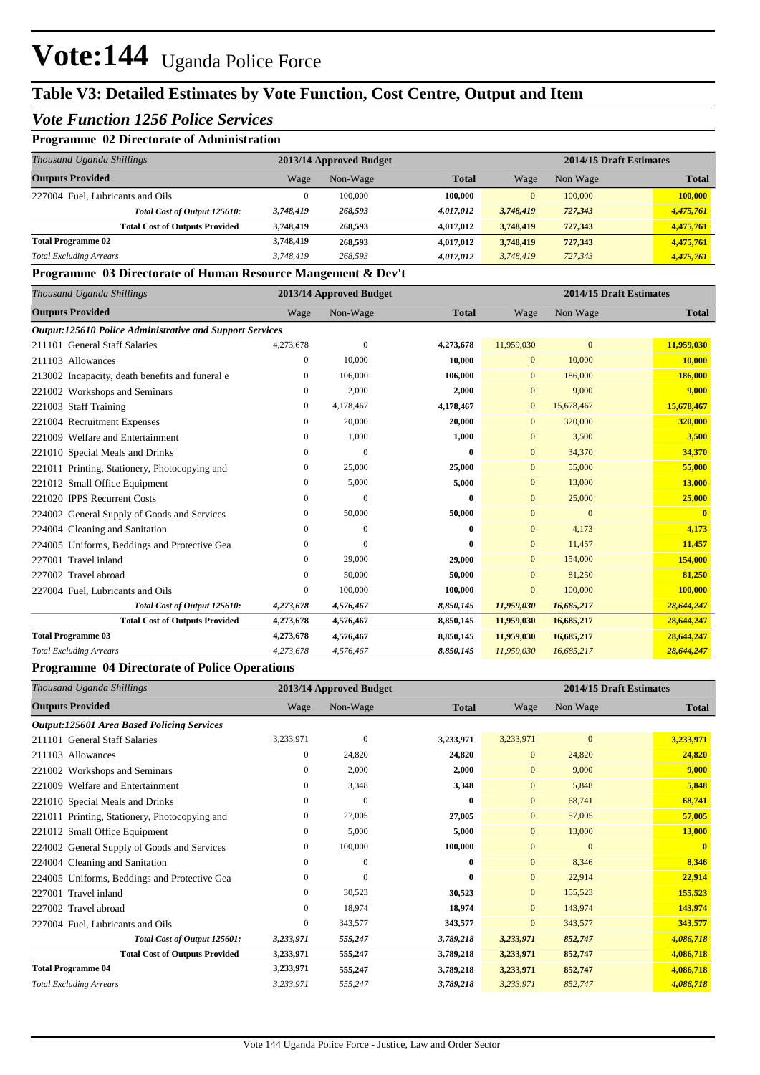## **Table V3: Detailed Estimates by Vote Function, Cost Centre, Output and Item**

### *Vote Function 1256 Police Services*

### **Programme 02 Directorate of Administration**

| Thousand Uganda Shillings             |           | 2013/14 Approved Budget |              |              | 2014/15 Draft Estimates |              |  |
|---------------------------------------|-----------|-------------------------|--------------|--------------|-------------------------|--------------|--|
| <b>Outputs Provided</b>               | Wage      | Non-Wage                | <b>Total</b> | Wage         | Non Wage                | <b>Total</b> |  |
| 227004 Fuel. Lubricants and Oils      | 0         | 100,000                 | 100.000      | $\mathbf{0}$ | 100,000                 | 100,000      |  |
| Total Cost of Output 125610:          | 3,748,419 | 268,593                 | 4.017.012    | 3,748,419    | 727,343                 | 4,475,761    |  |
| <b>Total Cost of Outputs Provided</b> | 3,748,419 | 268,593                 | 4.017.012    | 3,748,419    | 727,343                 | 4,475,761    |  |
| <b>Total Programme 02</b>             | 3,748,419 | 268,593                 | 4,017,012    | 3,748,419    | 727,343                 | 4,475,761    |  |
| <b>Total Excluding Arrears</b>        | 3.748.419 | 268,593                 | 4,017,012    | 3.748.419    | 727,343                 | 4,475,761    |  |

#### **Programme 03 Directorate of Human Resource Mangement & Dev't**

| Thousand Uganda Shillings                                       | 2013/14 Approved Budget |              |              |                |              | 2014/15 Draft Estimates |
|-----------------------------------------------------------------|-------------------------|--------------|--------------|----------------|--------------|-------------------------|
| <b>Outputs Provided</b>                                         | Wage                    | Non-Wage     | <b>Total</b> | Wage           | Non Wage     | <b>Total</b>            |
| <b>Output:125610 Police Administrative and Support Services</b> |                         |              |              |                |              |                         |
| 211101 General Staff Salaries                                   | 4,273,678               | $\mathbf{0}$ | 4,273,678    | 11,959,030     | $\mathbf{0}$ | 11,959,030              |
| 211103 Allowances                                               | $\overline{0}$          | 10,000       | 10,000       | $\overline{0}$ | 10,000       | 10,000                  |
| 213002 Incapacity, death benefits and funeral e                 | 0                       | 106,000      | 106,000      | $\mathbf{0}$   | 186,000      | 186,000                 |
| 221002 Workshops and Seminars                                   | 0                       | 2,000        | 2,000        | $\overline{0}$ | 9,000        | 9,000                   |
| 221003 Staff Training                                           | 0                       | 4,178,467    | 4,178,467    | $\mathbf{0}$   | 15,678,467   | 15,678,467              |
| 221004 Recruitment Expenses                                     | 0                       | 20,000       | 20,000       | $\Omega$       | 320,000      | 320,000                 |
| 221009 Welfare and Entertainment                                | 0                       | 1,000        | 1,000        | $\mathbf{0}$   | 3,500        | 3,500                   |
| 221010 Special Meals and Drinks                                 | $\Omega$                | $\theta$     | $\mathbf{0}$ | $\Omega$       | 34,370       | 34,370                  |
| 221011 Printing, Stationery, Photocopying and                   | 0                       | 25,000       | 25,000       | $\mathbf{0}$   | 55,000       | 55,000                  |
| 221012 Small Office Equipment                                   | 0                       | 5,000        | 5,000        | $\Omega$       | 13,000       | 13,000                  |
| 221020 IPPS Recurrent Costs                                     | 0                       | $\mathbf{0}$ | 0            | $\mathbf{0}$   | 25,000       | 25,000                  |
| 224002 General Supply of Goods and Services                     | 0                       | 50,000       | 50,000       | $\overline{0}$ | $\Omega$     | $\mathbf{0}$            |
| 224004 Cleaning and Sanitation                                  | 0                       | $\mathbf{0}$ | 0            | $\mathbf{0}$   | 4.173        | 4,173                   |
| Uniforms, Beddings and Protective Gea<br>224005                 | 0                       | $\Omega$     | $\bf{0}$     | $\overline{0}$ | 11,457       | 11,457                  |
| Travel inland<br>227001                                         | 0                       | 29,000       | 29,000       | $\overline{0}$ | 154,000      | 154,000                 |
| 227002 Travel abroad                                            | 0                       | 50,000       | 50,000       | $\mathbf{0}$   | 81,250       | 81,250                  |
| 227004 Fuel, Lubricants and Oils                                | 0                       | 100,000      | 100.000      | $\mathbf{0}$   | 100,000      | 100,000                 |
| Total Cost of Output 125610:                                    | 4,273,678               | 4,576,467    | 8,850,145    | 11,959,030     | 16,685,217   | 28,644,247              |
| <b>Total Cost of Outputs Provided</b>                           | 4,273,678               | 4,576,467    | 8,850,145    | 11,959,030     | 16,685,217   | 28,644,247              |
| <b>Total Programme 03</b>                                       | 4,273,678               | 4,576,467    | 8,850,145    | 11,959,030     | 16,685,217   | 28,644,247              |
| <b>Total Excluding Arrears</b>                                  | 4,273,678               | 4,576,467    | 8,850,145    | 11,959,030     | 16,685,217   | 28,644,247              |

#### **Programme 04 Directorate of Police Operations**

| 2013/14 Approved Budget<br>Thousand Uganda Shillings |              |                | 2014/15 Draft Estimates |                |              |              |
|------------------------------------------------------|--------------|----------------|-------------------------|----------------|--------------|--------------|
| <b>Outputs Provided</b>                              | Wage         | Non-Wage       | <b>Total</b>            | Wage           | Non Wage     | <b>Total</b> |
| <b>Output:125601 Area Based Policing Services</b>    |              |                |                         |                |              |              |
| 211101 General Staff Salaries                        | 3,233,971    | $\overline{0}$ | 3,233,971               | 3,233,971      | $\mathbf{0}$ | 3,233,971    |
| 211103 Allowances                                    | 0            | 24,820         | 24,820                  | $\overline{0}$ | 24,820       | 24,820       |
| 221002 Workshops and Seminars                        | 0            | 2,000          | 2,000                   | $\overline{0}$ | 9,000        | 9,000        |
| 221009 Welfare and Entertainment                     | $\mathbf{0}$ | 3,348          | 3,348                   | $\overline{0}$ | 5,848        | 5,848        |
| 221010 Special Meals and Drinks                      | $\mathbf{0}$ | $\Omega$       | $\bf{0}$                | $\overline{0}$ | 68,741       | 68,741       |
| 221011 Printing, Stationery, Photocopying and        | 0            | 27,005         | 27,005                  | $\mathbf{0}$   | 57,005       | 57,005       |
| 221012 Small Office Equipment                        | $\mathbf{0}$ | 5,000          | 5,000                   | $\overline{0}$ | 13,000       | 13,000       |
| 224002 General Supply of Goods and Services          | 0            | 100,000        | 100,000                 | $\overline{0}$ | $\mathbf{0}$ | $\mathbf{0}$ |
| 224004 Cleaning and Sanitation                       | $\mathbf{0}$ | $\Omega$       | $\bf{0}$                | $\overline{0}$ | 8,346        | 8,346        |
| 224005 Uniforms, Beddings and Protective Gea         | $\mathbf{0}$ | $\theta$       | $\bf{0}$                | $\overline{0}$ | 22,914       | 22,914       |
| 227001 Travel inland                                 | $\mathbf{0}$ | 30,523         | 30,523                  | $\overline{0}$ | 155,523      | 155,523      |
| 227002 Travel abroad                                 | $\mathbf{0}$ | 18,974         | 18,974                  | $\overline{0}$ | 143,974      | 143,974      |
| 227004 Fuel, Lubricants and Oils                     | $\mathbf{0}$ | 343,577        | 343,577                 | $\overline{0}$ | 343,577      | 343,577      |
| Total Cost of Output 125601:                         | 3,233,971    | 555,247        | 3,789,218               | 3,233,971      | 852,747      | 4,086,718    |
| <b>Total Cost of Outputs Provided</b>                | 3,233,971    | 555,247        | 3,789,218               | 3,233,971      | 852,747      | 4,086,718    |
| <b>Total Programme 04</b>                            | 3,233,971    | 555,247        | 3,789,218               | 3,233,971      | 852,747      | 4,086,718    |
| <b>Total Excluding Arrears</b>                       | 3,233,971    | 555,247        | 3,789,218               | 3,233,971      | 852,747      | 4,086,718    |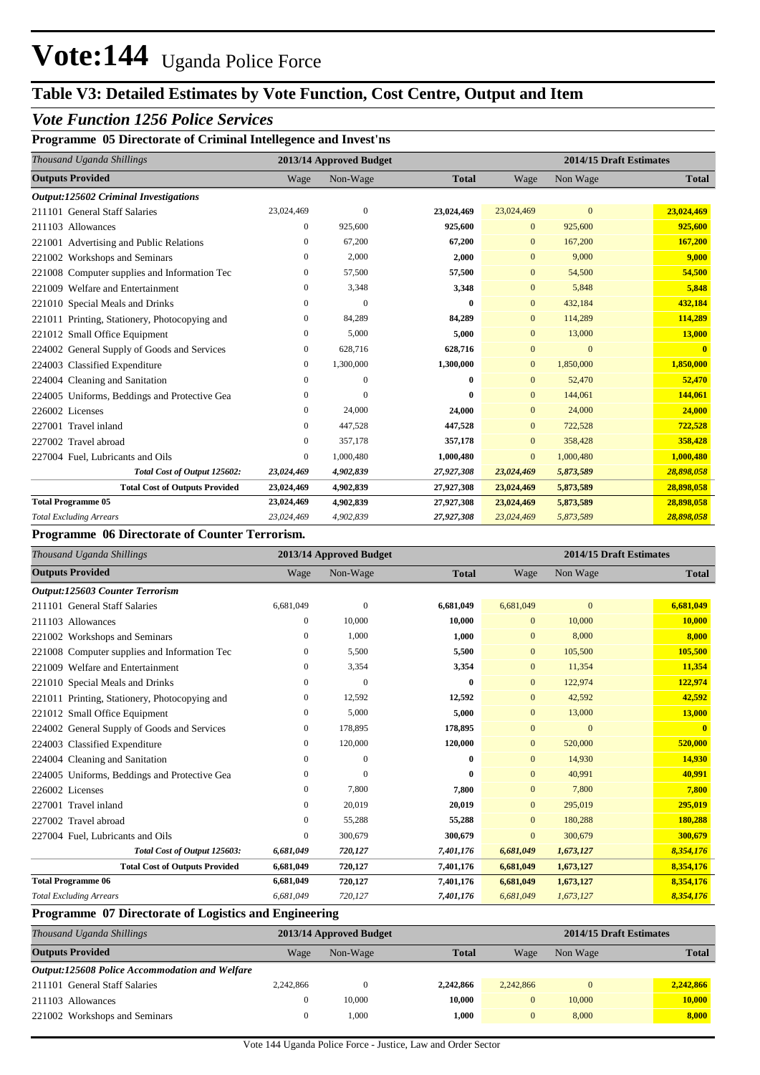## **Table V3: Detailed Estimates by Vote Function, Cost Centre, Output and Item**

### *Vote Function 1256 Police Services*

### **Programme 05 Directorate of Criminal Intellegence and Invest'ns**

| Thousand Uganda Shillings                     |                  | 2013/14 Approved Budget |              |                | 2014/15 Draft Estimates |              |  |  |
|-----------------------------------------------|------------------|-------------------------|--------------|----------------|-------------------------|--------------|--|--|
| <b>Outputs Provided</b>                       | Wage             | Non-Wage                | <b>Total</b> | Wage           | Non Wage                | <b>Total</b> |  |  |
| Output:125602 Criminal Investigations         |                  |                         |              |                |                         |              |  |  |
| 211101 General Staff Salaries                 | 23,024,469       | $\theta$                | 23,024,469   | 23,024,469     | $\overline{0}$          | 23,024,469   |  |  |
| 211103 Allowances                             | $\mathbf{0}$     | 925,600                 | 925,600      | $\mathbf{0}$   | 925,600                 | 925,600      |  |  |
| 221001 Advertising and Public Relations       | $\mathbf{0}$     | 67,200                  | 67,200       | $\mathbf{0}$   | 167,200                 | 167,200      |  |  |
| 221002 Workshops and Seminars                 | $\boldsymbol{0}$ | 2,000                   | 2,000        | $\mathbf{0}$   | 9,000                   | 9,000        |  |  |
| 221008 Computer supplies and Information Tec  | $\mathbf{0}$     | 57,500                  | 57,500       | $\mathbf{0}$   | 54,500                  | 54,500       |  |  |
| 221009 Welfare and Entertainment              | $\mathbf{0}$     | 3,348                   | 3,348        | $\mathbf{0}$   | 5,848                   | 5,848        |  |  |
| 221010 Special Meals and Drinks               | $\boldsymbol{0}$ | $\Omega$                | 0            | $\mathbf{0}$   | 432,184                 | 432,184      |  |  |
| 221011 Printing, Stationery, Photocopying and | 0                | 84,289                  | 84,289       | $\mathbf{0}$   | 114,289                 | 114,289      |  |  |
| 221012 Small Office Equipment                 | $\mathbf{0}$     | 5,000                   | 5,000        | $\mathbf{0}$   | 13,000                  | 13,000       |  |  |
| 224002 General Supply of Goods and Services   | 0                | 628,716                 | 628,716      | $\overline{0}$ | $\overline{0}$          | $\mathbf{0}$ |  |  |
| 224003 Classified Expenditure                 | 0                | 1,300,000               | 1,300,000    | $\mathbf{0}$   | 1,850,000               | 1,850,000    |  |  |
| 224004 Cleaning and Sanitation                | 0                | $\mathbf{0}$            | 0            | $\mathbf{0}$   | 52,470                  | 52,470       |  |  |
| 224005 Uniforms, Beddings and Protective Gea  | $\boldsymbol{0}$ | $\Omega$                | 0            | $\mathbf{0}$   | 144,061                 | 144,061      |  |  |
| 226002 Licenses                               | $\mathbf{0}$     | 24,000                  | 24,000       | $\overline{0}$ | 24,000                  | 24,000       |  |  |
| 227001 Travel inland                          | $\mathbf{0}$     | 447,528                 | 447,528      | $\mathbf{0}$   | 722,528                 | 722,528      |  |  |
| 227002 Travel abroad                          | 0                | 357,178                 | 357,178      | $\mathbf{0}$   | 358,428                 | 358,428      |  |  |
| 227004 Fuel, Lubricants and Oils              | 0                | 1,000,480               | 1,000,480    | $\mathbf{0}$   | 1,000,480               | 1,000,480    |  |  |
| Total Cost of Output 125602:                  | 23,024,469       | 4,902,839               | 27,927,308   | 23,024,469     | 5,873,589               | 28,898,058   |  |  |
| <b>Total Cost of Outputs Provided</b>         | 23,024,469       | 4,902,839               | 27,927,308   | 23,024,469     | 5,873,589               | 28,898,058   |  |  |
| <b>Total Programme 05</b>                     | 23,024,469       | 4,902,839               | 27,927,308   | 23,024,469     | 5,873,589               | 28,898,058   |  |  |
| <b>Total Excluding Arrears</b>                | 23,024,469       | 4,902,839               | 27,927,308   | 23,024,469     | 5,873,589               | 28,898,058   |  |  |

#### **Programme 06 Directorate of Counter Terrorism.**

| Thousand Uganda Shillings                     |                  | 2013/14 Approved Budget |              |                | 2014/15 Draft Estimates |              |
|-----------------------------------------------|------------------|-------------------------|--------------|----------------|-------------------------|--------------|
| <b>Outputs Provided</b>                       | Wage             | Non-Wage                | <b>Total</b> | Wage           | Non Wage                | <b>Total</b> |
| <b>Output:125603 Counter Terrorism</b>        |                  |                         |              |                |                         |              |
| 211101 General Staff Salaries                 | 6,681,049        | $\overline{0}$          | 6,681,049    | 6,681,049      | $\mathbf{0}$            | 6,681,049    |
| 211103 Allowances                             | 0                | 10,000                  | 10,000       | $\Omega$       | 10,000                  | 10,000       |
| 221002 Workshops and Seminars                 | 0                | 1,000                   | 1,000        | $\mathbf{0}$   | 8,000                   | 8,000        |
| 221008 Computer supplies and Information Tec  | 0                | 5,500                   | 5,500        | $\mathbf{0}$   | 105,500                 | 105,500      |
| 221009 Welfare and Entertainment              | 0                | 3,354                   | 3,354        | $\mathbf{0}$   | 11,354                  | 11,354       |
| 221010 Special Meals and Drinks               | 0                | $\overline{0}$          | $\bf{0}$     | $\mathbf{0}$   | 122,974                 | 122,974      |
| 221011 Printing, Stationery, Photocopying and | 0                | 12,592                  | 12,592       | $\Omega$       | 42,592                  | 42,592       |
| 221012 Small Office Equipment                 | 0                | 5,000                   | 5,000        | $\mathbf{0}$   | 13,000                  | 13,000       |
| 224002 General Supply of Goods and Services   | $\boldsymbol{0}$ | 178,895                 | 178,895      | $\overline{0}$ | $\Omega$                | $\mathbf{0}$ |
| 224003 Classified Expenditure                 | 0                | 120,000                 | 120,000      | $\mathbf{0}$   | 520,000                 | 520,000      |
| 224004 Cleaning and Sanitation                | 0                | $\mathbf{0}$            | $\bf{0}$     | $\mathbf{0}$   | 14,930                  | 14,930       |
| 224005 Uniforms, Beddings and Protective Gea  | 0                | $\theta$                | $\mathbf{0}$ | $\Omega$       | 40,991                  | 40,991       |
| 226002 Licenses                               | $\mathbf{0}$     | 7,800                   | 7,800        | $\mathbf{0}$   | 7,800                   | 7,800        |
| 227001 Travel inland                          | 0                | 20,019                  | 20,019       | $\mathbf{0}$   | 295,019                 | 295,019      |
| 227002 Travel abroad                          | 0                | 55,288                  | 55,288       | $\mathbf{0}$   | 180,288                 | 180,288      |
| 227004 Fuel, Lubricants and Oils              | 0                | 300,679                 | 300,679      | $\overline{0}$ | 300,679                 | 300,679      |
| Total Cost of Output 125603:                  | 6,681,049        | 720,127                 | 7,401,176    | 6,681,049      | 1,673,127               | 8,354,176    |
| <b>Total Cost of Outputs Provided</b>         | 6,681,049        | 720,127                 | 7,401,176    | 6,681,049      | 1,673,127               | 8,354,176    |
| <b>Total Programme 06</b>                     | 6,681,049        | 720,127                 | 7,401,176    | 6,681,049      | 1,673,127               | 8,354,176    |
| <b>Total Excluding Arrears</b>                | 6,681,049        | 720,127                 | 7,401,176    | 6,681,049      | 1,673,127               | 8,354,176    |

#### **Programme 07 Directorate of Logistics and Engineering**

|           |          |                         | 2014/15 Draft Estimates |          |              |  |
|-----------|----------|-------------------------|-------------------------|----------|--------------|--|
| Wage      | Non-Wage | <b>Total</b>            | Wage                    | Non Wage | <b>Total</b> |  |
|           |          |                         |                         |          |              |  |
| 2,242,866 |          | 2,242,866               | 2.242.866               |          | 2,242,866    |  |
|           | 10,000   | 10.000                  |                         | 10,000   | 10,000       |  |
|           | 1.000    | 1.000                   |                         | 8,000    | 8,000        |  |
|           |          | 2013/14 Approved Budget |                         |          |              |  |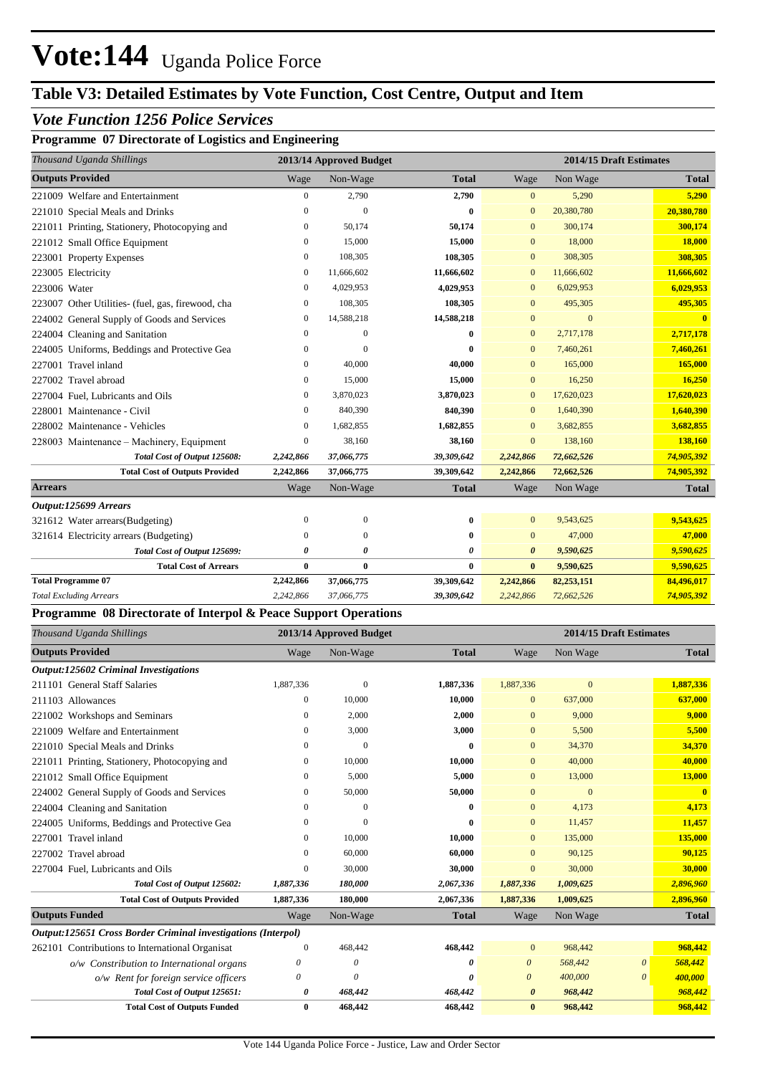## **Table V3: Detailed Estimates by Vote Function, Cost Centre, Output and Item**

### *Vote Function 1256 Police Services*

### **Programme 07 Directorate of Logistics and Engineering**

| Thousand Uganda Shillings                         |                  | 2013/14 Approved Budget |              |                | 2014/15 Draft Estimates |              |
|---------------------------------------------------|------------------|-------------------------|--------------|----------------|-------------------------|--------------|
| <b>Outputs Provided</b>                           | Wage             | Non-Wage                | <b>Total</b> | Wage           | Non Wage                | <b>Total</b> |
| 221009 Welfare and Entertainment                  | $\boldsymbol{0}$ | 2,790                   | 2,790        | $\overline{0}$ | 5,290                   | 5,290        |
| 221010 Special Meals and Drinks                   | $\mathbf{0}$     | $\Omega$                | $\mathbf{0}$ | $\mathbf{0}$   | 20,380,780              | 20,380,780   |
| 221011 Printing, Stationery, Photocopying and     | 0                | 50,174                  | 50,174       | $\mathbf{0}$   | 300,174                 | 300,174      |
| 221012 Small Office Equipment                     | $\mathbf{0}$     | 15,000                  | 15,000       | $\mathbf{0}$   | 18,000                  | 18,000       |
| 223001 Property Expenses                          | $\mathbf{0}$     | 108,305                 | 108,305      | $\mathbf{0}$   | 308,305                 | 308,305      |
| 223005 Electricity                                | 0                | 11,666,602              | 11,666,602   | $\mathbf{0}$   | 11,666,602              | 11,666,602   |
| 223006 Water                                      | 0                | 4,029,953               | 4,029,953    | $\mathbf{0}$   | 6,029,953               | 6,029,953    |
| 223007 Other Utilities- (fuel, gas, firewood, cha | $\mathbf{0}$     | 108,305                 | 108,305      | $\Omega$       | 495,305                 | 495,305      |
| 224002 General Supply of Goods and Services       | $\boldsymbol{0}$ | 14,588,218              | 14,588,218   | $\mathbf{0}$   | $\mathbf{0}$            |              |
| 224004 Cleaning and Sanitation                    | $\Omega$         | $\Omega$                | $\bf{0}$     | $\overline{0}$ | 2,717,178               | 2,717,178    |
| 224005 Uniforms, Beddings and Protective Gea      | $\Omega$         | $\Omega$                | $\mathbf{0}$ | $\mathbf{0}$   | 7,460,261               | 7,460,261    |
| 227001 Travel inland                              | $\Omega$         | 40,000                  | 40,000       | $\Omega$       | 165,000                 | 165,000      |
| 227002 Travel abroad                              | $\mathbf{0}$     | 15,000                  | 15,000       | $\mathbf{0}$   | 16,250                  | 16,250       |
| 227004 Fuel, Lubricants and Oils                  | $\mathbf{0}$     | 3,870,023               | 3,870,023    | $\mathbf{0}$   | 17,620,023              | 17,620,023   |
| 228001 Maintenance - Civil                        | $\mathbf{0}$     | 840,390                 | 840,390      | $\mathbf{0}$   | 1,640,390               | 1,640,390    |
| 228002 Maintenance - Vehicles                     | $\mathbf{0}$     | 1,682,855               | 1,682,855    | $\Omega$       | 3,682,855               | 3,682,855    |
| 228003 Maintenance – Machinery, Equipment         | $\mathbf{0}$     | 38,160                  | 38,160       | $\mathbf{0}$   | 138,160                 | 138,160      |
| Total Cost of Output 125608:                      | 2,242,866        | 37,066,775              | 39,309,642   | 2,242,866      | 72,662,526              | 74,905,392   |
| <b>Total Cost of Outputs Provided</b>             | 2,242,866        | 37,066,775              | 39,309,642   | 2,242,866      | 72,662,526              | 74,905,392   |
| <b>Arrears</b>                                    | Wage             | Non-Wage                | <b>Total</b> | Wage           | Non Wage                | <b>Total</b> |
| Output:125699 Arrears                             |                  |                         |              |                |                         |              |
| 321612 Water arrears(Budgeting)                   | $\Omega$         | $\theta$                | $\bf{0}$     | $\mathbf{0}$   | 9,543,625               | 9,543,625    |
| 321614 Electricity arrears (Budgeting)            | $\Omega$         | $\Omega$                | $\bf{0}$     | $\mathbf{0}$   | 47,000                  | 47,000       |
| Total Cost of Output 125699:                      | 0                | 0                       | 0            | $\theta$       | 9,590,625               | 9,590,625    |
| <b>Total Cost of Arrears</b>                      | $\bf{0}$         | $\bf{0}$                | $\bf{0}$     | $\bf{0}$       | 9,590,625               | 9,590,625    |
| <b>Total Programme 07</b>                         | 2,242,866        | 37,066,775              | 39,309,642   | 2,242,866      | 82,253,151              | 84,496,017   |
| <b>Total Excluding Arrears</b>                    | 2,242,866        | 37,066,775              | 39,309,642   | 2,242,866      | 72,662,526              | 74,905,392   |
| $\sim$ $\sim$                                     |                  |                         |              |                |                         |              |

#### **Programme 08 Directorate of Interpol & Peace Support Operations**

| Thousand Uganda Shillings                                     |                  | 2013/14 Approved Budget |              | 2014/15 Draft Estimates |                |          |              |
|---------------------------------------------------------------|------------------|-------------------------|--------------|-------------------------|----------------|----------|--------------|
| <b>Outputs Provided</b>                                       | Wage             | Non-Wage                | <b>Total</b> | Wage                    | Non Wage       |          | <b>Total</b> |
| Output:125602 Criminal Investigations                         |                  |                         |              |                         |                |          |              |
| 211101 General Staff Salaries                                 | 1,887,336        | $\mathbf{0}$            | 1,887,336    | 1,887,336               | $\mathbf{0}$   |          | 1,887,336    |
| 211103 Allowances                                             | $\mathbf{0}$     | 10.000                  | 10,000       | $\mathbf{0}$            | 637,000        |          | 637,000      |
| 221002 Workshops and Seminars                                 | $\mathbf{0}$     | 2,000                   | 2,000        | $\mathbf{0}$            | 9,000          |          | 9,000        |
| 221009 Welfare and Entertainment                              | $\Omega$         | 3,000                   | 3,000        | $\mathbf{0}$            | 5,500          |          | 5,500        |
| 221010 Special Meals and Drinks                               | 0                | $\Omega$                | $\bf{0}$     | $\mathbf{0}$            | 34,370         |          | 34,370       |
| 221011 Printing, Stationery, Photocopying and                 | $\mathbf{0}$     | 10,000                  | 10,000       | $\mathbf{0}$            | 40,000         |          | 40,000       |
| 221012 Small Office Equipment                                 | $\Omega$         | 5,000                   | 5,000        | $\Omega$                | 13,000         |          | 13,000       |
| 224002 General Supply of Goods and Services                   | $\mathbf{0}$     | 50,000                  | 50,000       | $\Omega$                | $\overline{0}$ |          | $\mathbf{0}$ |
| 224004 Cleaning and Sanitation                                | $\Omega$         | $\Omega$                | 0            | $\Omega$                | 4,173          |          | 4,173        |
| 224005 Uniforms, Beddings and Protective Gea                  | $\Omega$         | $\Omega$                | 0            | $\mathbf{0}$            | 11,457         |          | 11,457       |
| 227001 Travel inland                                          | 0                | 10,000                  | 10,000       | $\mathbf{0}$            | 135,000        |          | 135,000      |
| 227002 Travel abroad                                          | $\mathbf{0}$     | 60,000                  | 60,000       | $\Omega$                | 90,125         |          | 90,125       |
| 227004 Fuel, Lubricants and Oils                              | $\mathbf{0}$     | 30,000                  | 30,000       | $\mathbf{0}$            | 30,000         |          | 30,000       |
| Total Cost of Output 125602:                                  | 1,887,336        | 180,000                 | 2,067,336    | 1,887,336               | 1,009,625      |          | 2,896,960    |
| <b>Total Cost of Outputs Provided</b>                         | 1,887,336        | 180,000                 | 2,067,336    | 1,887,336               | 1,009,625      |          | 2,896,960    |
| <b>Outputs Funded</b>                                         | Wage             | Non-Wage                | <b>Total</b> | Wage                    | Non Wage       |          | <b>Total</b> |
| Output:125651 Cross Border Criminal investigations (Interpol) |                  |                         |              |                         |                |          |              |
| 262101 Contributions to International Organisat               | $\boldsymbol{0}$ | 468,442                 | 468,442      | $\mathbf{0}$            | 968,442        |          | 968,442      |
| o/w Constribution to International organs                     | 0                | 0                       | 0            | $\boldsymbol{\theta}$   | 568,442        | $\theta$ | 568,442      |
| o/w Rent for foreign service officers                         | 0                | $\theta$                | 0            | $\theta$                | 400,000        | 0        | 400,000      |
| Total Cost of Output 125651:                                  | 0                | 468,442                 | 468,442      | $\boldsymbol{\theta}$   | 968,442        |          | 968,442      |
| <b>Total Cost of Outputs Funded</b>                           | 0                | 468,442                 | 468,442      | $\bf{0}$                | 968,442        |          | 968,442      |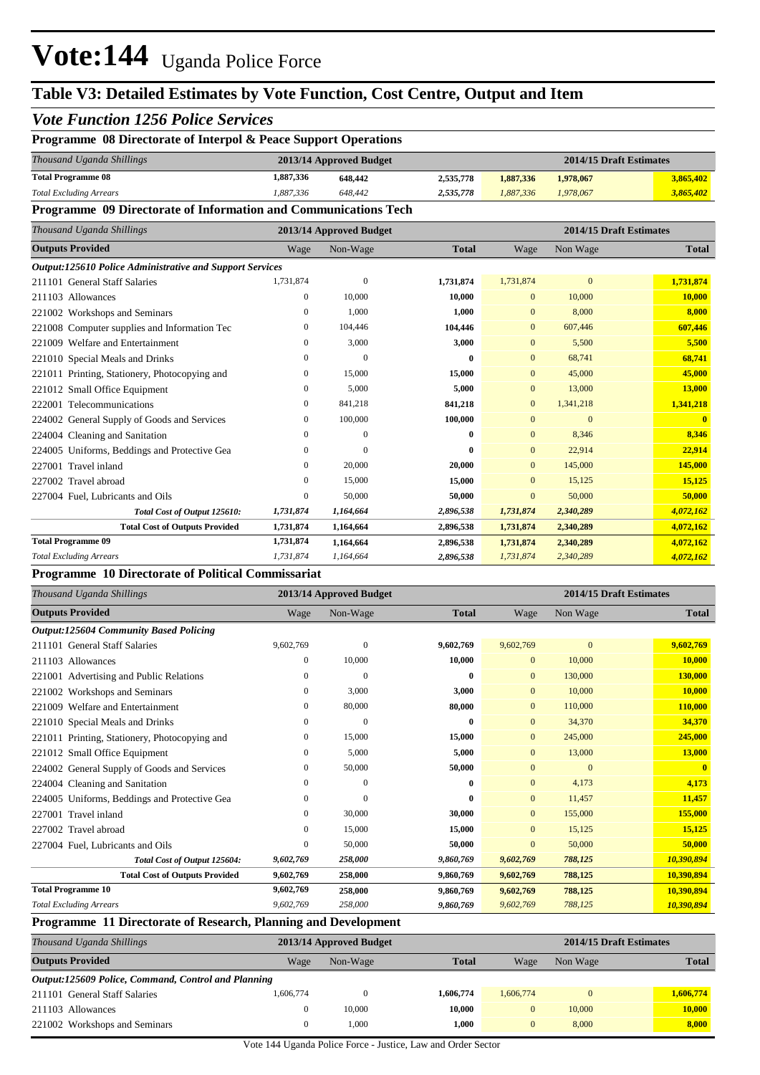## **Table V3: Detailed Estimates by Vote Function, Cost Centre, Output and Item**

#### *Vote Function 1256 Police Services* **Programme 08 Directorate of Interpol & Peace Support Operations** *Thousand Uganda Shillings* **2013/14 Approved Budget 2014/15 Draft Estimates 1,887,336 648,442 2,535,778 1,887,336 1,978,067 3,865,402** *Total Excluding Arrears 1,887,336 648,442 2,535,778 1,887,336 1,978,067 3,865,402* **Total Programme 08 Programme 09 Directorate of Information and Communications Tech** *Thousand Uganda Shillings* **2013/14 Approved Budget 2014/15 Draft Estimates Outputs Provided** Wage Non-Wage **Total** Wage Non Wage **Total** *Output:125610 Police Administrative and Support Services* 211101 General Staff Salaries 1,731,874 0 **1,731,874** 1,731,874 0 **1,731,874** 211103 Allowances 0 10,000 **10,000** 0 10,000 **10,000** 221002 Workshops and Seminars 0 1,000 **1,000** 0 8,000 **8,000** 221008 Computer supplies and Information Tec 0 104,446 **104,446** 0 607,446 **607,446** 221009 Welfare and Entertainment 0 3,000 **3,000** 0 5,500 **5,500** 221010 Special Meals and Drinks 0 0 **0** 0 68,741 **68,741** 221011 Printing, Stationery, Photocopying and 0 15,000 **15,000** 0 45,000 **45,000** 221012 Small Office Equipment 0 5,000 **5,000** 0 13,000 **13,000** 222001 Telecommunications 0 841,218 **841,218** 0 1,341,218 **1,341,218** 224002 General Supply of Goods and Services 0 100,000 **100,000** 0 0 **0** 224004 Cleaning and Sanitation 0 0 **0** 0 8,346 **8,346** 224005 Uniforms, Beddings and Protective Gea 0 0 **0** 0 22,914 **22,914** 227001 Travel inland 0 20,000 **20,000** 0 145,000 **145,000** 227002 Travel abroad 0 15,000 **15,000** 0 15,125 **15,125** 227004 Fuel, Lubricants and Oils 0 50,000 **50,000** 0 50,000 **50,000** *Total Cost of Output 125610: 1,731,874 1,164,664 2,896,538 1,731,874 2,340,289 4,072,162* **Total Cost of Outputs Provided 1,731,874 1,164,664 2,896,538 1,731,874 2,340,289 4,072,162 1,731,874 1,164,664 2,896,538 1,731,874 2,340,289 4,072,162** *Total Excluding Arrears 1,731,874 1,164,664 2,896,538 1,731,874 2,340,289 4,072,162* **Total Programme 09**

#### **Programme 10 Directorate of Political Commissariat**

| Thousand Uganda Shillings                                     |                | 2013/14 Approved Budget |              |                |              | 2014/15 Draft Estimates |
|---------------------------------------------------------------|----------------|-------------------------|--------------|----------------|--------------|-------------------------|
| <b>Outputs Provided</b>                                       | Wage           | Non-Wage                | <b>Total</b> | Wage           | Non Wage     | <b>Total</b>            |
| <b>Output:125604 Community Based Policing</b>                 |                |                         |              |                |              |                         |
| 211101 General Staff Salaries                                 | 9,602,769      | $\mathbf{0}$            | 9,602,769    | 9,602,769      | $\mathbf{0}$ | 9,602,769               |
| 211103 Allowances                                             | $\overline{0}$ | 10,000                  | 10,000       | $\mathbf{0}$   | 10,000       | 10,000                  |
| 221001 Advertising and Public Relations                       | 0              | $\mathbf{0}$            | $\bf{0}$     | $\Omega$       | 130,000      | 130,000                 |
| 221002 Workshops and Seminars                                 | 0              | 3,000                   | 3,000        | $\mathbf{0}$   | 10,000       | 10,000                  |
| 221009 Welfare and Entertainment                              | 0              | 80,000                  | 80,000       | $\Omega$       | 110,000      | 110,000                 |
| 221010 Special Meals and Drinks                               | 0              | $\mathbf{0}$            | $\bf{0}$     | $\mathbf{0}$   | 34,370       | 34,370                  |
| 221011 Printing, Stationery, Photocopying and                 | 0              | 15,000                  | 15,000       | $\mathbf{0}$   | 245,000      | 245,000                 |
| 221012 Small Office Equipment                                 | 0              | 5,000                   | 5,000        | $\Omega$       | 13,000       | 13,000                  |
| 224002 General Supply of Goods and Services                   | 0              | 50,000                  | 50,000       | $\mathbf{0}$   | $\mathbf{0}$ | $\mathbf{0}$            |
| 224004 Cleaning and Sanitation                                | 0              | $\mathbf{0}$            | $\bf{0}$     | $\overline{0}$ | 4,173        | 4,173                   |
| 224005 Uniforms, Beddings and Protective Gea                  | 0              | $\Omega$                | $\mathbf{0}$ | $\mathbf{0}$   | 11,457       | 11.457                  |
| 227001 Travel inland                                          | 0              | 30,000                  | 30,000       | $\Omega$       | 155,000      | 155,000                 |
| 227002 Travel abroad                                          | 0              | 15,000                  | 15,000       | $\Omega$       | 15,125       | 15,125                  |
| 227004 Fuel, Lubricants and Oils                              | 0              | 50,000                  | 50,000       | $\mathbf{0}$   | 50,000       | 50,000                  |
| Total Cost of Output 125604:                                  | 9,602,769      | 258,000                 | 9,860,769    | 9,602,769      | 788,125      | 10,390,894              |
| <b>Total Cost of Outputs Provided</b>                         | 9,602,769      | 258,000                 | 9,860,769    | 9,602,769      | 788,125      | 10,390,894              |
| <b>Total Programme 10</b>                                     | 9,602,769      | 258,000                 | 9,860,769    | 9,602,769      | 788,125      | 10,390,894              |
| <b>Total Excluding Arrears</b>                                | 9,602,769      | 258,000                 | 9,860,769    | 9,602,769      | 788,125      | 10,390,894              |
| Dreamento 11 Directorate of Deceanoly Diaming and Development |                |                         |              |                |              |                         |

#### **Programme 11 Directorate of Research, Planning and Development**

| Thousand Uganda Shillings                           |              | 2013/14 Approved Budget |              |           | 2014/15 Draft Estimates |              |  |  |
|-----------------------------------------------------|--------------|-------------------------|--------------|-----------|-------------------------|--------------|--|--|
| <b>Outputs Provided</b>                             | Wage         | Non-Wage                | <b>Total</b> | Wage      | Non Wage                | <b>Total</b> |  |  |
| Output:125609 Police, Command, Control and Planning |              |                         |              |           |                         |              |  |  |
| 211101 General Staff Salaries                       | 1,606,774    |                         | 1,606,774    | 1,606,774 | $\mathbf{0}$            | 1,606,774    |  |  |
| 211103 Allowances                                   | $\mathbf{0}$ | 10,000                  | 10.000       | 0         | 10,000                  | 10,000       |  |  |
| 221002 Workshops and Seminars                       | $\theta$     | 1,000                   | 1.000        | 0         | 8,000                   | 8,000        |  |  |

Vote 144 Uganda Police Force - Justice, Law and Order Sector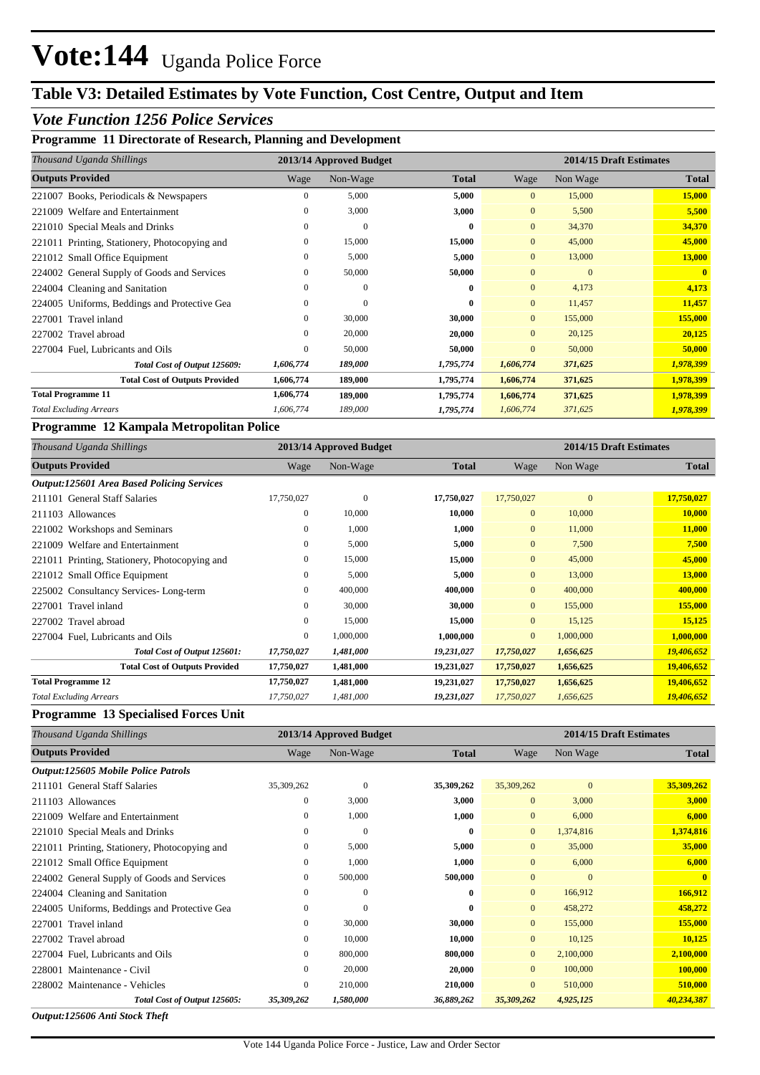## **Table V3: Detailed Estimates by Vote Function, Cost Centre, Output and Item**

### *Vote Function 1256 Police Services*

#### **Programme 11 Directorate of Research, Planning and Development**

| Thousand Uganda Shillings                     |              | 2013/14 Approved Budget |              |                | 2014/15 Draft Estimates |              |
|-----------------------------------------------|--------------|-------------------------|--------------|----------------|-------------------------|--------------|
| <b>Outputs Provided</b>                       | Wage         | Non-Wage                | <b>Total</b> | Wage           | Non Wage                | <b>Total</b> |
| 221007 Books, Periodicals & Newspapers        | 0            | 5,000                   | 5,000        | $\overline{0}$ | 15,000                  | 15,000       |
| 221009 Welfare and Entertainment              | $\mathbf{0}$ | 3,000                   | 3,000        | $\overline{0}$ | 5,500                   | 5,500        |
| 221010 Special Meals and Drinks               | $\mathbf{0}$ | $\mathbf{0}$            | 0            | $\overline{0}$ | 34,370                  | 34,370       |
| 221011 Printing, Stationery, Photocopying and | $\mathbf{0}$ | 15,000                  | 15,000       | $\overline{0}$ | 45,000                  | 45,000       |
| 221012 Small Office Equipment                 | $\mathbf{0}$ | 5,000                   | 5,000        | $\overline{0}$ | 13,000                  | 13,000       |
| 224002 General Supply of Goods and Services   | 0            | 50,000                  | 50,000       | $\overline{0}$ | $\mathbf{0}$            | $\mathbf{0}$ |
| 224004 Cleaning and Sanitation                | $\theta$     | $\mathbf{0}$            | 0            | $\overline{0}$ | 4,173                   | 4,173        |
| 224005 Uniforms, Beddings and Protective Gea  | $\Omega$     | $\mathbf{0}$            | $\bf{0}$     | $\overline{0}$ | 11,457                  | 11,457       |
| 227001 Travel inland                          | $\mathbf{0}$ | 30,000                  | 30,000       | $\overline{0}$ | 155,000                 | 155,000      |
| 227002 Travel abroad                          | 0            | 20,000                  | 20,000       | $\overline{0}$ | 20,125                  | 20,125       |
| 227004 Fuel, Lubricants and Oils              | 0            | 50,000                  | 50,000       | $\overline{0}$ | 50,000                  | 50,000       |
| Total Cost of Output 125609:                  | 1,606,774    | 189,000                 | 1,795,774    | 1,606,774      | 371,625                 | 1,978,399    |
| <b>Total Cost of Outputs Provided</b>         | 1,606,774    | 189,000                 | 1,795,774    | 1,606,774      | 371,625                 | 1,978,399    |
| <b>Total Programme 11</b>                     | 1,606,774    | 189,000                 | 1,795,774    | 1,606,774      | 371,625                 | 1,978,399    |
| <b>Total Excluding Arrears</b>                | 1,606,774    | 189,000                 | 1,795,774    | 1,606,774      | 371,625                 | 1,978,399    |

#### **Programme 12 Kampala Metropolitan Police**

| Thousand Uganda Shillings                         | 2013/14 Approved Budget |              |              |              | 2014/15 Draft Estimates |              |
|---------------------------------------------------|-------------------------|--------------|--------------|--------------|-------------------------|--------------|
| <b>Outputs Provided</b>                           | Wage                    | Non-Wage     | <b>Total</b> | Wage         | Non Wage                | <b>Total</b> |
| <b>Output:125601 Area Based Policing Services</b> |                         |              |              |              |                         |              |
| 211101 General Staff Salaries                     | 17,750,027              | $\mathbf{0}$ | 17,750,027   | 17,750,027   | $\Omega$                | 17,750,027   |
| 211103 Allowances                                 | $\mathbf{0}$            | 10,000       | 10,000       | $\mathbf{0}$ | 10,000                  | 10,000       |
| 221002 Workshops and Seminars                     | 0                       | 1,000        | 1,000        | $\mathbf{0}$ | 11,000                  | 11,000       |
| 221009 Welfare and Entertainment                  | $\mathbf{0}$            | 5,000        | 5,000        | $\mathbf{0}$ | 7,500                   | 7,500        |
| 221011 Printing, Stationery, Photocopying and     | $\mathbf{0}$            | 15,000       | 15,000       | $\mathbf{0}$ | 45,000                  | 45,000       |
| 221012 Small Office Equipment                     | $\mathbf{0}$            | 5,000        | 5,000        | $\mathbf{0}$ | 13,000                  | 13,000       |
| 225002 Consultancy Services-Long-term             | $\mathbf{0}$            | 400,000      | 400,000      | $\mathbf{0}$ | 400,000                 | 400,000      |
| 227001 Travel inland                              | $\mathbf{0}$            | 30,000       | 30,000       | $\mathbf{0}$ | 155,000                 | 155,000      |
| 227002 Travel abroad                              | $\mathbf{0}$            | 15,000       | 15,000       | $\mathbf{0}$ | 15,125                  | 15,125       |
| 227004 Fuel, Lubricants and Oils                  | $\mathbf{0}$            | 1,000,000    | 1,000,000    | $\mathbf{0}$ | 1,000,000               | 1,000,000    |
| Total Cost of Output 125601:                      | 17,750,027              | 1,481,000    | 19,231,027   | 17,750,027   | 1,656,625               | 19,406,652   |
| <b>Total Cost of Outputs Provided</b>             | 17,750,027              | 1,481,000    | 19,231,027   | 17,750,027   | 1,656,625               | 19,406,652   |
| <b>Total Programme 12</b>                         | 17,750,027              | 1,481,000    | 19,231,027   | 17,750,027   | 1,656,625               | 19,406,652   |
| <b>Total Excluding Arrears</b>                    | 17,750,027              | 1,481,000    | 19,231,027   | 17,750,027   | 1,656,625               | 19,406,652   |

#### **Programme 13 Specialised Forces Unit**

| Thousand Uganda Shillings                     |                  | 2013/14 Approved Budget |              |                | 2014/15 Draft Estimates |              |  |
|-----------------------------------------------|------------------|-------------------------|--------------|----------------|-------------------------|--------------|--|
| <b>Outputs Provided</b>                       | Wage             | Non-Wage                | <b>Total</b> | Wage           | Non Wage                | <b>Total</b> |  |
| Output:125605 Mobile Police Patrols           |                  |                         |              |                |                         |              |  |
| 211101 General Staff Salaries                 | 35,309,262       | $\mathbf{0}$            | 35,309,262   | 35,309,262     | $\mathbf{0}$            | 35,309,262   |  |
| 211103 Allowances                             | $\mathbf{0}$     | 3,000                   | 3,000        | $\mathbf{0}$   | 3,000                   | 3,000        |  |
| 221009 Welfare and Entertainment              | $\mathbf{0}$     | 1,000                   | 1,000        | $\mathbf{0}$   | 6,000                   | 6,000        |  |
| 221010 Special Meals and Drinks               | $\mathbf{0}$     | $\mathbf{0}$            | $\bf{0}$     | $\overline{0}$ | 1,374,816               | 1,374,816    |  |
| 221011 Printing, Stationery, Photocopying and | $\boldsymbol{0}$ | 5,000                   | 5,000        | $\overline{0}$ | 35,000                  | 35,000       |  |
| 221012 Small Office Equipment                 | $\boldsymbol{0}$ | 1,000                   | 1,000        | $\mathbf{0}$   | 6,000                   | 6,000        |  |
| 224002 General Supply of Goods and Services   | 0                | 500,000                 | 500,000      | $\mathbf{0}$   | $\mathbf{0}$            | $\mathbf{0}$ |  |
| 224004 Cleaning and Sanitation                | $\boldsymbol{0}$ | $\mathbf{0}$            | $\bf{0}$     | $\overline{0}$ | 166,912                 | 166,912      |  |
| 224005 Uniforms, Beddings and Protective Gea  | $\boldsymbol{0}$ | $\mathbf{0}$            | $\bf{0}$     | $\mathbf{0}$   | 458,272                 | 458,272      |  |
| 227001 Travel inland                          | $\bf{0}$         | 30,000                  | 30,000       | $\mathbf{0}$   | 155,000                 | 155,000      |  |
| 227002 Travel abroad                          | $\mathbf{0}$     | 10,000                  | 10,000       | $\overline{0}$ | 10,125                  | 10,125       |  |
| 227004 Fuel, Lubricants and Oils              | $\boldsymbol{0}$ | 800,000                 | 800,000      | $\overline{0}$ | 2,100,000               | 2,100,000    |  |
| 228001 Maintenance - Civil                    | $\boldsymbol{0}$ | 20,000                  | 20,000       | $\overline{0}$ | 100,000                 | 100,000      |  |
| 228002 Maintenance - Vehicles                 | $\boldsymbol{0}$ | 210,000                 | 210,000      | $\mathbf{0}$   | 510,000                 | 510,000      |  |
| Total Cost of Output 125605:                  | 35,309,262       | 1,580,000               | 36,889,262   | 35,309,262     | 4,925,125               | 40,234,387   |  |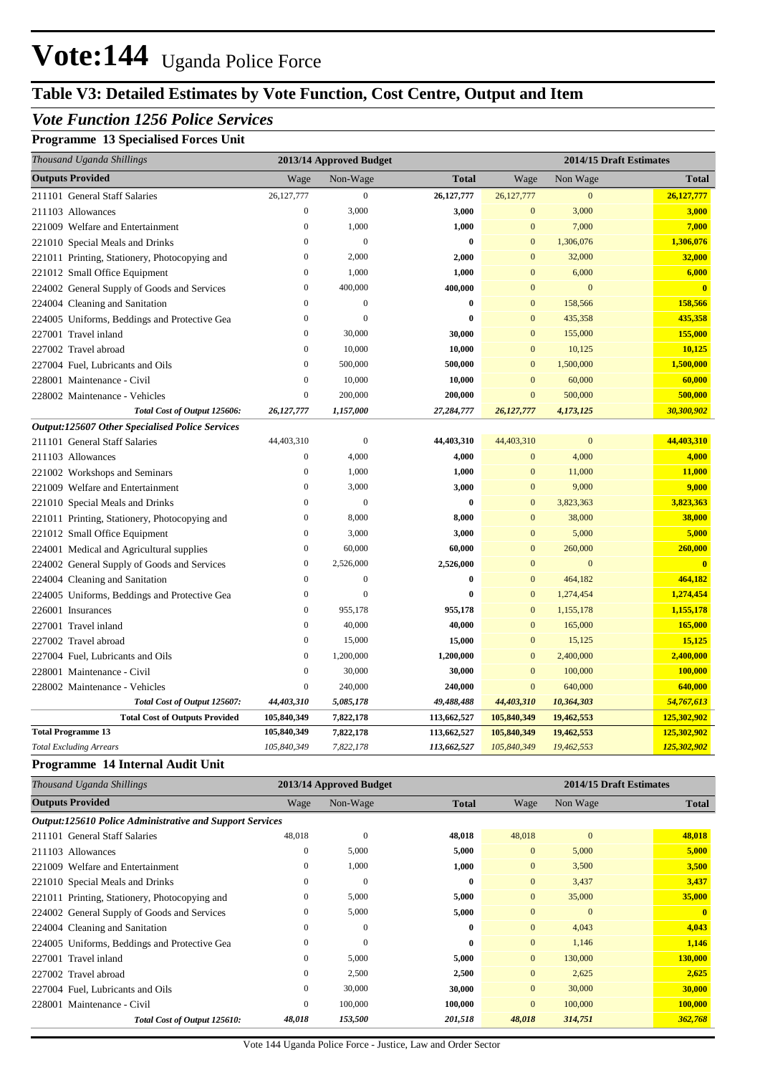## **Table V3: Detailed Estimates by Vote Function, Cost Centre, Output and Item**

### *Vote Function 1256 Police Services*

### **Programme 13 Specialised Forces Unit**

| Thousand Uganda Shillings                              |                  | 2013/14 Approved Budget |              |                  |                  | 2014/15 Draft Estimates |
|--------------------------------------------------------|------------------|-------------------------|--------------|------------------|------------------|-------------------------|
| <b>Outputs Provided</b>                                | Wage             | Non-Wage                | <b>Total</b> | Wage             | Non Wage         | <b>Total</b>            |
| 211101 General Staff Salaries                          | 26,127,777       | $\boldsymbol{0}$        | 26,127,777   | 26,127,777       | $\boldsymbol{0}$ | 26, 127, 777            |
| 211103 Allowances                                      | $\boldsymbol{0}$ | 3,000                   | 3,000        | $\mathbf{0}$     | 3,000            | 3,000                   |
| 221009 Welfare and Entertainment                       | $\mathbf{0}$     | 1,000                   | 1,000        | $\boldsymbol{0}$ | 7,000            | 7,000                   |
| 221010 Special Meals and Drinks                        | $\boldsymbol{0}$ | $\overline{0}$          | $\bf{0}$     | $\mathbf{0}$     | 1,306,076        | 1,306,076               |
| 221011 Printing, Stationery, Photocopying and          | $\boldsymbol{0}$ | 2,000                   | 2,000        | $\mathbf{0}$     | 32,000           | 32,000                  |
| 221012 Small Office Equipment                          | $\mathbf{0}$     | 1,000                   | 1,000        | $\mathbf{0}$     | 6,000            | 6,000                   |
| 224002 General Supply of Goods and Services            | $\boldsymbol{0}$ | 400,000                 | 400,000      | $\mathbf{0}$     | $\mathbf{0}$     | $\overline{\mathbf{0}}$ |
| 224004 Cleaning and Sanitation                         | $\mathbf{0}$     | $\boldsymbol{0}$        | $\bf{0}$     | $\mathbf{0}$     | 158,566          | 158,566                 |
| 224005 Uniforms, Beddings and Protective Gea           | $\overline{0}$   | $\overline{0}$          | $\mathbf{0}$ | $\overline{0}$   | 435,358          | 435,358                 |
| 227001 Travel inland                                   | $\overline{0}$   | 30,000                  | 30,000       | $\Omega$         | 155,000          | 155,000                 |
| 227002 Travel abroad                                   | $\overline{0}$   | 10,000                  | 10,000       | $\mathbf{0}$     | 10,125           | 10,125                  |
| 227004 Fuel, Lubricants and Oils                       | $\overline{0}$   | 500,000                 | 500,000      | $\mathbf{0}$     | 1,500,000        | 1,500,000               |
| 228001 Maintenance - Civil                             | $\mathbf{0}$     | 10,000                  | 10,000       | $\Omega$         | 60,000           | 60,000                  |
| 228002 Maintenance - Vehicles                          | $\boldsymbol{0}$ | 200,000                 | 200,000      | $\mathbf{0}$     | 500,000          | 500,000                 |
| Total Cost of Output 125606:                           | 26,127,777       | 1,157,000               | 27,284,777   | 26,127,777       | 4,173,125        | 30,300,902              |
| <b>Output:125607 Other Specialised Police Services</b> |                  |                         |              |                  |                  |                         |
| 211101 General Staff Salaries                          | 44,403,310       | $\mathbf{0}$            | 44,403,310   | 44,403,310       | $\boldsymbol{0}$ | 44,403,310              |
| 211103 Allowances                                      | $\boldsymbol{0}$ | 4,000                   | 4,000        | $\mathbf{0}$     | 4,000            | 4,000                   |
| 221002 Workshops and Seminars                          | $\mathbf{0}$     | 1,000                   | 1,000        | $\mathbf{0}$     | 11,000           | 11,000                  |
| 221009 Welfare and Entertainment                       | $\boldsymbol{0}$ | 3,000                   | 3,000        | $\mathbf{0}$     | 9,000            | 9,000                   |
| 221010 Special Meals and Drinks                        | $\mathbf{0}$     | $\overline{0}$          | $\bf{0}$     | $\mathbf{0}$     | 3,823,363        | 3,823,363               |
| 221011 Printing, Stationery, Photocopying and          | $\boldsymbol{0}$ | 8,000                   | 8,000        | $\mathbf{0}$     | 38,000           | 38,000                  |
| 221012 Small Office Equipment                          | $\mathbf{0}$     | 3,000                   | 3,000        | $\mathbf{0}$     | 5,000            | 5,000                   |
| 224001 Medical and Agricultural supplies               | $\mathbf{0}$     | 60,000                  | 60,000       | $\overline{0}$   | 260,000          | 260,000                 |
| 224002 General Supply of Goods and Services            | $\mathbf{0}$     | 2,526,000               | 2,526,000    | $\overline{0}$   | $\overline{0}$   | $\mathbf{0}$            |
| 224004 Cleaning and Sanitation                         | $\overline{0}$   | $\overline{0}$          | $\bf{0}$     | $\overline{0}$   | 464,182          | 464,182                 |
| 224005 Uniforms, Beddings and Protective Gea           | $\boldsymbol{0}$ | $\mathbf{0}$            | $\bf{0}$     | $\mathbf{0}$     | 1,274,454        | 1,274,454               |
| 226001 Insurances                                      | $\boldsymbol{0}$ | 955,178                 | 955,178      | $\mathbf{0}$     | 1,155,178        | 1,155,178               |
| 227001 Travel inland                                   | $\boldsymbol{0}$ | 40,000                  | 40,000       | $\mathbf{0}$     | 165,000          | 165,000                 |
| 227002 Travel abroad                                   | $\boldsymbol{0}$ | 15,000                  | 15,000       | $\mathbf{0}$     | 15,125           | 15,125                  |
| 227004 Fuel, Lubricants and Oils                       | $\boldsymbol{0}$ | 1,200,000               | 1,200,000    | $\mathbf{0}$     | 2,400,000        | 2,400,000               |
| 228001 Maintenance - Civil                             | $\boldsymbol{0}$ | 30,000                  | 30,000       | $\mathbf{0}$     | 100,000          | 100,000                 |
| 228002 Maintenance - Vehicles                          | $\boldsymbol{0}$ | 240,000                 | 240,000      | $\mathbf{0}$     | 640,000          | 640,000                 |
| Total Cost of Output 125607:                           | 44,403,310       | 5,085,178               | 49,488,488   | 44,403,310       | 10,364,303       | 54,767,613              |
| <b>Total Cost of Outputs Provided</b>                  | 105,840,349      | 7,822,178               | 113,662,527  | 105,840,349      | 19,462,553       | 125,302,902             |
| <b>Total Programme 13</b>                              | 105,840,349      | 7,822,178               | 113,662,527  | 105,840,349      | 19,462,553       | 125,302,902             |
| <b>Total Excluding Arrears</b>                         | 105,840,349      | 7,822,178               | 113,662,527  | 105,840,349      | 19,462,553       | 125,302,902             |

#### **Programme 14 Internal Audit Unit**

| Thousand Uganda Shillings                                       |                | 2013/14 Approved Budget |              |                | 2014/15 Draft Estimates |              |  |
|-----------------------------------------------------------------|----------------|-------------------------|--------------|----------------|-------------------------|--------------|--|
| <b>Outputs Provided</b>                                         | Wage           | Non-Wage                | <b>Total</b> | Wage           | Non Wage                | <b>Total</b> |  |
| <b>Output:125610 Police Administrative and Support Services</b> |                |                         |              |                |                         |              |  |
| 211101 General Staff Salaries                                   | 48,018         | $\mathbf{0}$            | 48,018       | 48,018         | $\mathbf{0}$            | 48,018       |  |
| 211103 Allowances                                               | $\mathbf{0}$   | 5,000                   | 5,000        | $\overline{0}$ | 5,000                   | 5,000        |  |
| 221009 Welfare and Entertainment                                | $\overline{0}$ | 1,000                   | 1,000        | $\overline{0}$ | 3,500                   | 3,500        |  |
| 221010 Special Meals and Drinks                                 | $\mathbf{0}$   | $\mathbf{0}$            | $\bf{0}$     | $\overline{0}$ | 3,437                   | 3,437        |  |
| 221011 Printing, Stationery, Photocopying and                   | $\mathbf{0}$   | 5,000                   | 5,000        | $\overline{0}$ | 35,000                  | 35,000       |  |
| 224002 General Supply of Goods and Services                     | $\mathbf{0}$   | 5,000                   | 5,000        | $\overline{0}$ | $\mathbf{0}$            | $\mathbf{0}$ |  |
| 224004 Cleaning and Sanitation                                  | $\mathbf{0}$   | $\mathbf{0}$            | $\bf{0}$     | $\overline{0}$ | 4,043                   | 4,043        |  |
| 224005 Uniforms, Beddings and Protective Gea                    | $\mathbf{0}$   | $\mathbf{0}$            | $\bf{0}$     | $\overline{0}$ | 1,146                   | 1,146        |  |
| 227001 Travel inland                                            | $\mathbf{0}$   | 5,000                   | 5,000        | $\overline{0}$ | 130,000                 | 130,000      |  |
| 227002 Travel abroad                                            | $\mathbf{0}$   | 2,500                   | 2,500        | $\overline{0}$ | 2,625                   | 2,625        |  |
| 227004 Fuel, Lubricants and Oils                                | $\mathbf{0}$   | 30,000                  | 30,000       | $\overline{0}$ | 30,000                  | 30,000       |  |
| 228001 Maintenance - Civil                                      | $\mathbf{0}$   | 100,000                 | 100,000      | $\overline{0}$ | 100,000                 | 100,000      |  |
| Total Cost of Output 125610:                                    | 48,018         | 153,500                 | 201,518      | 48,018         | 314,751                 | 362,768      |  |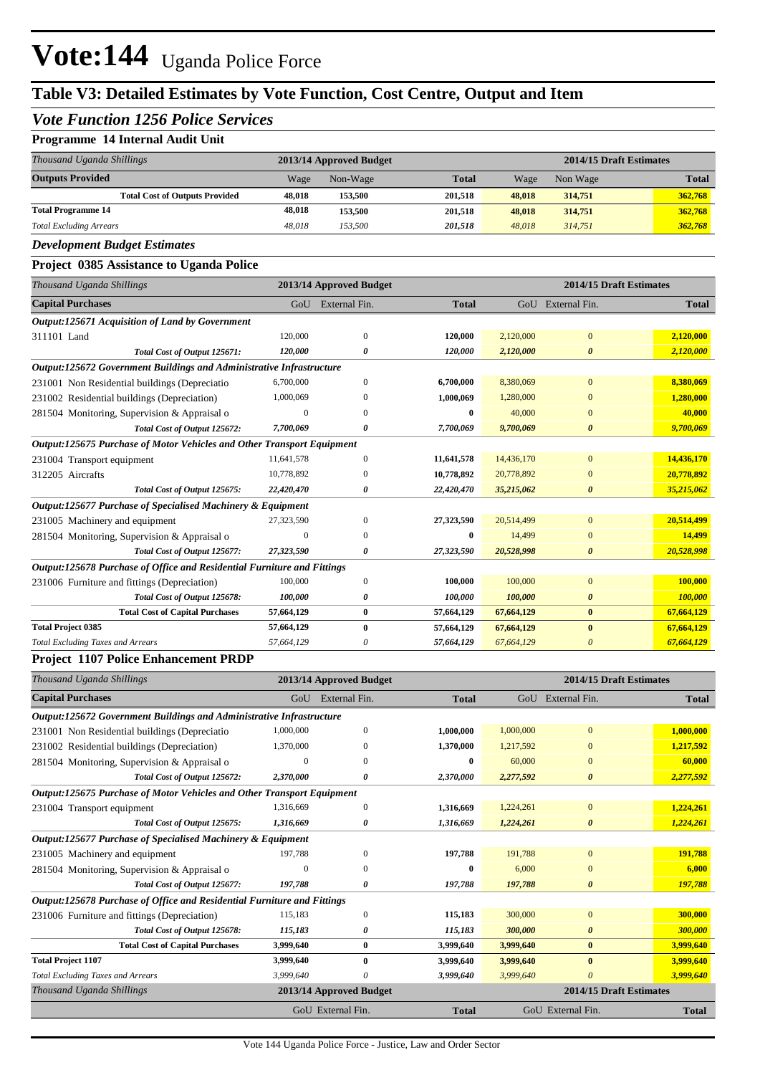## **Table V3: Detailed Estimates by Vote Function, Cost Centre, Output and Item**

### *Vote Function 1256 Police Services*

#### **Programme 14 Internal Audit Unit**

| Thousand Uganda Shillings             |        | 2013/14 Approved Budget |              | 2014/15 Draft Estimates |          |              |
|---------------------------------------|--------|-------------------------|--------------|-------------------------|----------|--------------|
| <b>Outputs Provided</b>               | Wage   | Non-Wage                | <b>Total</b> | Wage                    | Non Wage | <b>Total</b> |
| <b>Total Cost of Outputs Provided</b> | 48,018 | 153.500                 | 201.518      | 48,018                  | 314,751  | 362,768      |
| <b>Total Programme 14</b>             | 48.018 | 153.500                 | 201.518      | 48,018                  | 314,751  | 362,768      |
| <b>Total Excluding Arrears</b>        | 48.018 | 153.500                 | 201,518      | 48.018                  | 314.751  | 362,768      |

### *Development Budget Estimates*

## **Project 0385 Assistance to Uganda Police**

| Thousand Uganda Shillings                                               |            | 2013/14 Approved Budget |              | 2014/15 Draft Estimates |                       |              |  |
|-------------------------------------------------------------------------|------------|-------------------------|--------------|-------------------------|-----------------------|--------------|--|
| <b>Capital Purchases</b>                                                |            | GoU External Fin.       | <b>Total</b> |                         | GoU External Fin.     | <b>Total</b> |  |
| <b>Output:125671 Acquisition of Land by Government</b>                  |            |                         |              |                         |                       |              |  |
| 311101 Land                                                             | 120,000    | $\Omega$                | 120,000      | 2,120,000               | $\mathbf{0}$          | 2,120,000    |  |
| Total Cost of Output 125671:                                            | 120,000    | 0                       | 120,000      | 2,120,000               | $\boldsymbol{\theta}$ | 2,120,000    |  |
| Output:125672 Government Buildings and Administrative Infrastructure    |            |                         |              |                         |                       |              |  |
| 231001 Non Residential buildings (Depreciatio                           | 6,700,000  | $\Omega$                | 6,700,000    | 8,380,069               | $\mathbf{0}$          | 8,380,069    |  |
| 231002 Residential buildings (Depreciation)                             | 1,000,069  | $\Omega$                | 1,000,069    | 1,280,000               | $\mathbf{0}$          | 1,280,000    |  |
| 281504 Monitoring, Supervision & Appraisal o                            | $\Omega$   | $\Omega$                | 0            | 40,000                  | $\Omega$              | 40,000       |  |
| Total Cost of Output 125672:                                            | 7,700,069  | 0                       | 7,700,069    | 9,700,069               | $\boldsymbol{\theta}$ | 9,700,069    |  |
| Output:125675 Purchase of Motor Vehicles and Other Transport Equipment  |            |                         |              |                         |                       |              |  |
| 231004 Transport equipment                                              | 11,641,578 | $\Omega$                | 11,641,578   | 14,436,170              | $\overline{0}$        | 14,436,170   |  |
| 312205 Aircrafts                                                        | 10,778,892 | $\Omega$                | 10,778,892   | 20,778,892              | $\Omega$              | 20,778,892   |  |
| Total Cost of Output 125675:                                            | 22,420,470 | 0                       | 22,420,470   | 35,215,062              | $\boldsymbol{\theta}$ | 35,215,062   |  |
| Output:125677 Purchase of Specialised Machinery & Equipment             |            |                         |              |                         |                       |              |  |
| 231005 Machinery and equipment                                          | 27,323,590 | $\Omega$                | 27,323,590   | 20,514,499              | $\overline{0}$        | 20,514,499   |  |
| 281504 Monitoring, Supervision & Appraisal o                            | $\Omega$   | $\Omega$                | 0            | 14,499                  | $\mathbf{0}$          | 14,499       |  |
| Total Cost of Output 125677:                                            | 27,323,590 | 0                       | 27,323,590   | 20,528,998              | $\boldsymbol{\theta}$ | 20,528,998   |  |
| Output:125678 Purchase of Office and Residential Furniture and Fittings |            |                         |              |                         |                       |              |  |
| 231006 Furniture and fittings (Depreciation)                            | 100,000    | $\mathbf{0}$            | 100,000      | 100,000                 | $\mathbf{0}$          | 100,000      |  |
| Total Cost of Output 125678:                                            | 100,000    | 0                       | 100,000      | 100,000                 | $\boldsymbol{\theta}$ | 100,000      |  |
| <b>Total Cost of Capital Purchases</b>                                  | 57,664,129 | $\bf{0}$                | 57,664,129   | 67,664,129              | $\bf{0}$              | 67,664,129   |  |
| <b>Total Project 0385</b>                                               | 57,664,129 | $\mathbf{0}$            | 57,664,129   | 67,664,129              | $\mathbf{0}$          | 67,664,129   |  |
| <b>Total Excluding Taxes and Arrears</b>                                | 57,664,129 | 0                       | 57,664,129   | 67,664,129              | $\theta$              | 67,664,129   |  |

#### **Project 1107 Police Enhancement PRDP**

| Thousand Uganda Shillings                                               |              | 2013/14 Approved Budget |              | 2014/15 Draft Estimates |                       |              |
|-------------------------------------------------------------------------|--------------|-------------------------|--------------|-------------------------|-----------------------|--------------|
| <b>Capital Purchases</b>                                                | GoU          | External Fin.           | <b>Total</b> |                         | GoU External Fin.     | <b>Total</b> |
| Output:125672 Government Buildings and Administrative Infrastructure    |              |                         |              |                         |                       |              |
| 231001 Non Residential buildings (Depreciatio                           | 1,000,000    | $\Omega$                | 1,000,000    | 1,000,000               | $\mathbf{0}$          | 1,000,000    |
| 231002 Residential buildings (Depreciation)                             | 1,370,000    | $\Omega$                | 1.370.000    | 1,217,592               | $\mathbf{0}$          | 1,217,592    |
| 281504 Monitoring, Supervision & Appraisal o                            | $\mathbf{0}$ | $\Omega$                | $\bf{0}$     | 60,000                  | $\mathbf{0}$          | 60,000       |
| Total Cost of Output 125672:                                            | 2,370,000    | 0                       | 2,370,000    | 2,277,592               | $\boldsymbol{\theta}$ | 2,277,592    |
| Output:125675 Purchase of Motor Vehicles and Other Transport Equipment  |              |                         |              |                         |                       |              |
| 231004 Transport equipment                                              | 1,316,669    | $\theta$                | 1,316,669    | 1,224,261               | $\mathbf{0}$          | 1.224.261    |
| Total Cost of Output 125675:                                            | 1,316,669    | 0                       | 1,316,669    | 1,224,261               | $\boldsymbol{\theta}$ | 1,224,261    |
| Output:125677 Purchase of Specialised Machinery & Equipment             |              |                         |              |                         |                       |              |
| 231005 Machinery and equipment                                          | 197.788      | $\Omega$                | 197,788      | 191,788                 | $\mathbf{0}$          | 191,788      |
| 281504 Monitoring, Supervision & Appraisal o                            | $\Omega$     | $\Omega$                | $\mathbf{0}$ | 6,000                   | $\mathbf{0}$          | 6.000        |
| Total Cost of Output 125677:                                            | 197,788      | 0                       | 197,788      | 197,788                 | $\boldsymbol{\theta}$ | 197,788      |
| Output:125678 Purchase of Office and Residential Furniture and Fittings |              |                         |              |                         |                       |              |
| 231006 Furniture and fittings (Depreciation)                            | 115,183      | $\Omega$                | 115,183      | 300,000                 | $\mathbf{0}$          | 300,000      |
| Total Cost of Output 125678:                                            | 115,183      | 0                       | 115,183      | 300,000                 | $\boldsymbol{\theta}$ | 300,000      |
| <b>Total Cost of Capital Purchases</b>                                  | 3,999,640    | $\bf{0}$                | 3,999,640    | 3,999,640               | $\bf{0}$              | 3,999,640    |
| <b>Total Project 1107</b>                                               | 3,999,640    | $\bf{0}$                | 3,999,640    | 3,999,640               | $\bf{0}$              | 3,999,640    |
| <b>Total Excluding Taxes and Arrears</b>                                | 3,999,640    | 0                       | 3,999,640    | 3,999,640               | 0                     | 3,999,640    |
| Thousand Uganda Shillings                                               |              | 2013/14 Approved Budget |              | 2014/15 Draft Estimates |                       |              |
|                                                                         |              | GoU External Fin.       | <b>Total</b> |                         | GoU External Fin.     | <b>Total</b> |